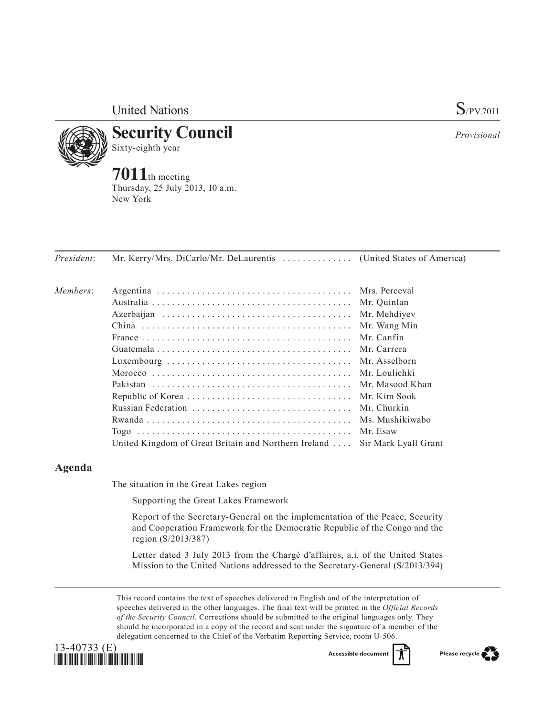United Nations S/PV.7011



**Security Council** Sixty-eighth year

**7011**th meeting Thursday, 25 July 2013, 10 a.m. New York

*President*: Mr. Kerry/Mrs. DiCarlo/Mr. DeLaurentis . . . . . . . . . . . . . . (United States of America)

| Members: |                                                                            |              |
|----------|----------------------------------------------------------------------------|--------------|
|          |                                                                            |              |
|          |                                                                            | Mr. Mehdiyev |
|          |                                                                            | Mr. Wang Min |
|          |                                                                            | Mr. Canfin   |
|          |                                                                            |              |
|          |                                                                            |              |
|          |                                                                            |              |
|          |                                                                            |              |
|          |                                                                            |              |
|          |                                                                            |              |
|          |                                                                            |              |
|          |                                                                            | Mr. Esaw     |
|          | United Kingdom of Great Britain and Northern Ireland  Sir Mark Lyall Grant |              |

## **Agenda**

The situation in the Great Lakes region

Supporting the Great Lakes Framework

Report of the Secretary-General on the implementation of the Peace, Security and Cooperation Framework for the Democratic Republic of the Congo and the region (S/2013/387)

Letter dated 3 July 2013 from the Chargé d'affaires, a.i. of the United States Mission to the United Nations addressed to the Secretary-General (S/2013/394)

This record contains the text of speeches delivered in English and of the interpretation of speeches delivered in the other languages. The final text will be printed in the *Official Records of the Security Council*. Corrections should be submitted to the original languages only. They should be incorporated in a copy of the record and sent under the signature of a member of the delegation concerned to the Chief of the Verbatim Reporting Service, room U-506.



Accessible documen



*Provisional*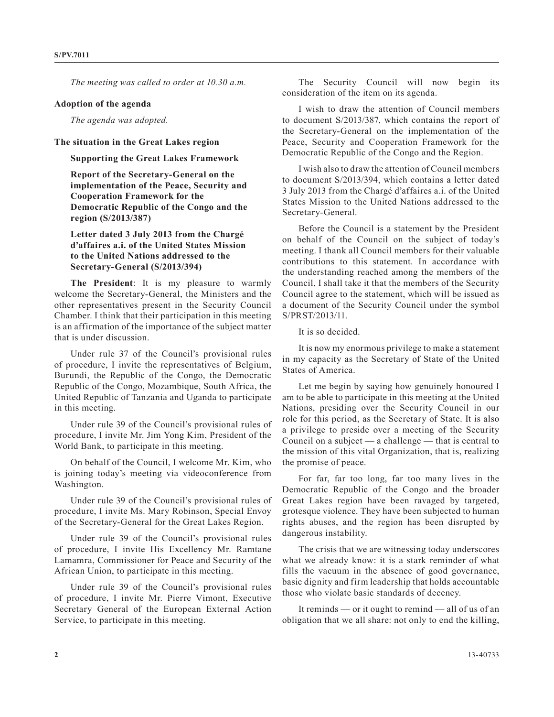*The meeting was called to order at 10.30 a.m.*

## **Adoption of the agenda**

*The agenda was adopted.*

## **The situation in the Great Lakes region**

**Supporting the Great Lakes Framework**

**Report of the Secretary-General on the implementation of the Peace, Security and Cooperation Framework for the Democratic Republic of the Congo and the region (S/2013/387)**

**Letter dated 3 July 2013 from the Chargé d'affaires a.i. of the United States Mission to the United Nations addressed to the Secretary-General (S/2013/394)**

**The President**: It is my pleasure to warmly welcome the Secretary-General, the Ministers and the other representatives present in the Security Council Chamber. I think that their participation in this meeting is an affirmation of the importance of the subject matter that is under discussion.

Under rule 37 of the Council's provisional rules of procedure, I invite the representatives of Belgium, Burundi, the Republic of the Congo, the Democratic Republic of the Congo, Mozambique, South Africa, the United Republic of Tanzania and Uganda to participate in this meeting.

Under rule 39 of the Council's provisional rules of procedure, I invite Mr. Jim Yong Kim, President of the World Bank, to participate in this meeting.

On behalf of the Council, I welcome Mr. Kim, who is joining today's meeting via videoconference from Washington.

Under rule 39 of the Council's provisional rules of procedure, I invite Ms. Mary Robinson, Special Envoy of the Secretary-General for the Great Lakes Region.

Under rule 39 of the Council's provisional rules of procedure, I invite His Excellency Mr. Ramtane Lamamra, Commissioner for Peace and Security of the African Union, to participate in this meeting.

Under rule 39 of the Council's provisional rules of procedure, I invite Mr. Pierre Vimont, Executive Secretary General of the European External Action Service, to participate in this meeting.

The Security Council will now begin its consideration of the item on its agenda.

I wish to draw the attention of Council members to document S/2013/387, which contains the report of the Secretary-General on the implementation of the Peace, Security and Cooperation Framework for the Democratic Republic of the Congo and the Region.

I wish also to draw the attention of Council members to document S/2013/394, which contains a letter dated 3 July 2013 from the Chargé d'affaires a.i. of the United States Mission to the United Nations addressed to the Secretary-General.

Before the Council is a statement by the President on behalf of the Council on the subject of today's meeting. I thank all Council members for their valuable contributions to this statement. In accordance with the understanding reached among the members of the Council, I shall take it that the members of the Security Council agree to the statement, which will be issued as a document of the Security Council under the symbol S/PRST/2013/11.

It is so decided.

It is now my enormous privilege to make a statement in my capacity as the Secretary of State of the United States of America.

Let me begin by saying how genuinely honoured I am to be able to participate in this meeting at the United Nations, presiding over the Security Council in our role for this period, as the Secretary of State. It is also a privilege to preside over a meeting of the Security Council on a subject  $-$  a challenge  $-$  that is central to the mission of this vital Organization, that is, realizing the promise of peace.

For far, far too long, far too many lives in the Democratic Republic of the Congo and the broader Great Lakes region have been ravaged by targeted, grotesque violence. They have been subjected to human rights abuses, and the region has been disrupted by dangerous instability.

The crisis that we are witnessing today underscores what we already know: it is a stark reminder of what fills the vacuum in the absence of good governance, basic dignity and firm leadership that holds accountable those who violate basic standards of decency.

It reminds — or it ought to remind — all of us of an obligation that we all share: not only to end the killing,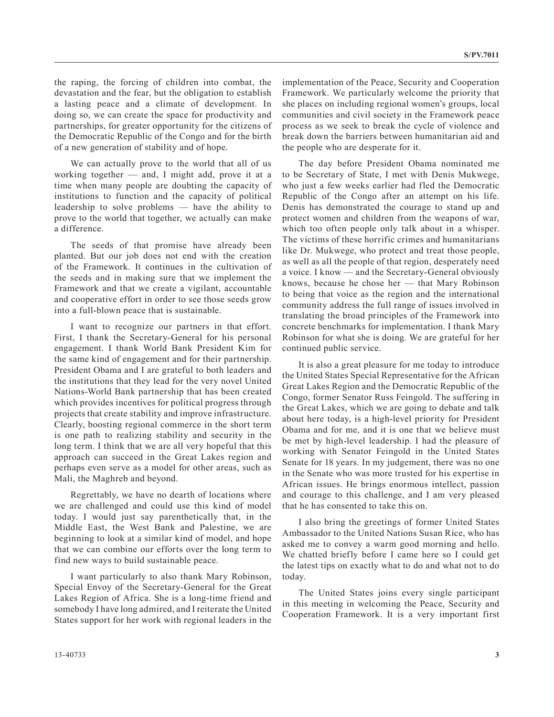the raping, the forcing of children into combat, the devastation and the fear, but the obligation to establish a lasting peace and a climate of development. In doing so, we can create the space for productivity and partnerships, for greater opportunity for the citizens of the Democratic Republic of the Congo and for the birth of a new generation of stability and of hope.

We can actually prove to the world that all of us working together — and, I might add, prove it at a time when many people are doubting the capacity of institutions to function and the capacity of political leadership to solve problems — have the ability to prove to the world that together, we actually can make a difference.

The seeds of that promise have already been planted. But our job does not end with the creation of the Framework. It continues in the cultivation of the seeds and in making sure that we implement the Framework and that we create a vigilant, accountable and cooperative effort in order to see those seeds grow into a full-blown peace that is sustainable.

I want to recognize our partners in that effort. First, I thank the Secretary-General for his personal engagement. I thank World Bank President Kim for the same kind of engagement and for their partnership. President Obama and I are grateful to both leaders and the institutions that they lead for the very novel United Nations-World Bank partnership that has been created which provides incentives for political progress through projects that create stability and improve infrastructure. Clearly, boosting regional commerce in the short term is one path to realizing stability and security in the long term. I think that we are all very hopeful that this approach can succeed in the Great Lakes region and perhaps even serve as a model for other areas, such as Mali, the Maghreb and beyond.

Regrettably, we have no dearth of locations where we are challenged and could use this kind of model today. I would just say parenthetically that, in the Middle East, the West Bank and Palestine, we are beginning to look at a similar kind of model, and hope that we can combine our efforts over the long term to find new ways to build sustainable peace.

I want particularly to also thank Mary Robinson, Special Envoy of the Secretary-General for the Great Lakes Region of Africa. She is a long-time friend and somebody I have long admired, and I reiterate the United States support for her work with regional leaders in the implementation of the Peace, Security and Cooperation Framework. We particularly welcome the priority that she places on including regional women's groups, local communities and civil society in the Framework peace process as we seek to break the cycle of violence and break down the barriers between humanitarian aid and the people who are desperate for it.

The day before President Obama nominated me to be Secretary of State, I met with Denis Mukwege, who just a few weeks earlier had fled the Democratic Republic of the Congo after an attempt on his life. Denis has demonstrated the courage to stand up and protect women and children from the weapons of war, which too often people only talk about in a whisper. The victims of these horrific crimes and humanitarians like Dr. Mukwege, who protect and treat those people, as well as all the people of that region, desperately need a voice. I know — and the Secretary-General obviously knows, because he chose her — that Mary Robinson to being that voice as the region and the international community address the full range of issues involved in translating the broad principles of the Framework into concrete benchmarks for implementation. I thank Mary Robinson for what she is doing. We are grateful for her continued public service.

It is also a great pleasure for me today to introduce the United States Special Representative for the African Great Lakes Region and the Democratic Republic of the Congo, former Senator Russ Feingold. The suffering in the Great Lakes, which we are going to debate and talk about here today, is a high-level priority for President Obama and for me, and it is one that we believe must be met by high-level leadership. I had the pleasure of working with Senator Feingold in the United States Senate for 18 years. In my judgement, there was no one in the Senate who was more trusted for his expertise in African issues. He brings enormous intellect, passion and courage to this challenge, and I am very pleased that he has consented to take this on.

I also bring the greetings of former United States Ambassador to the United Nations Susan Rice, who has asked me to convey a warm good morning and hello. We chatted briefly before I came here so I could get the latest tips on exactly what to do and what not to do today.

The United States joins every single participant in this meeting in welcoming the Peace, Security and Cooperation Framework. It is a very important first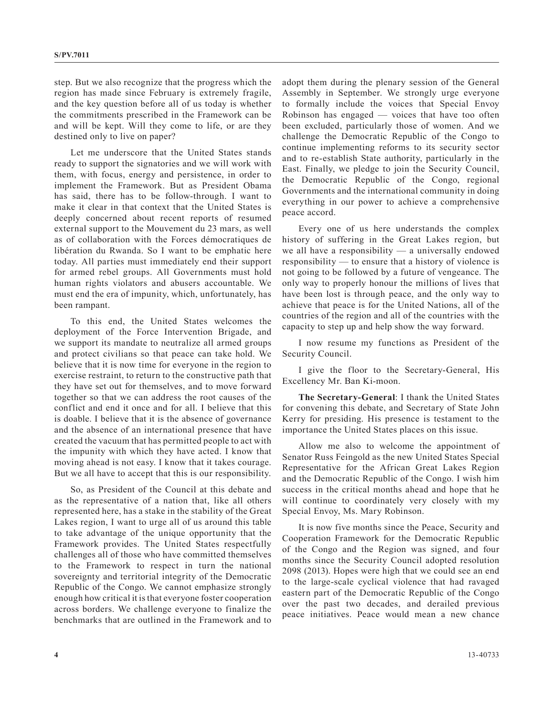step. But we also recognize that the progress which the region has made since February is extremely fragile, and the key question before all of us today is whether the commitments prescribed in the Framework can be and will be kept. Will they come to life, or are they destined only to live on paper?

Let me underscore that the United States stands ready to support the signatories and we will work with them, with focus, energy and persistence, in order to implement the Framework. But as President Obama has said, there has to be follow-through. I want to make it clear in that context that the United States is deeply concerned about recent reports of resumed external support to the Mouvement du 23 mars, as well as of collaboration with the Forces démocratiques de libération du Rwanda. So I want to be emphatic here today. All parties must immediately end their support for armed rebel groups. All Governments must hold human rights violators and abusers accountable. We must end the era of impunity, which, unfortunately, has been rampant.

To this end, the United States welcomes the deployment of the Force Intervention Brigade, and we support its mandate to neutralize all armed groups and protect civilians so that peace can take hold. We believe that it is now time for everyone in the region to exercise restraint, to return to the constructive path that they have set out for themselves, and to move forward together so that we can address the root causes of the conflict and end it once and for all. I believe that this is doable. I believe that it is the absence of governance and the absence of an international presence that have created the vacuum that has permitted people to act with the impunity with which they have acted. I know that moving ahead is not easy. I know that it takes courage. But we all have to accept that this is our responsibility.

So, as President of the Council at this debate and as the representative of a nation that, like all others represented here, has a stake in the stability of the Great Lakes region, I want to urge all of us around this table to take advantage of the unique opportunity that the Framework provides. The United States respectfully challenges all of those who have committed themselves to the Framework to respect in turn the national sovereignty and territorial integrity of the Democratic Republic of the Congo. We cannot emphasize strongly enough how critical it is that everyone foster cooperation across borders. We challenge everyone to finalize the benchmarks that are outlined in the Framework and to

adopt them during the plenary session of the General Assembly in September. We strongly urge everyone to formally include the voices that Special Envoy Robinson has engaged — voices that have too often been excluded, particularly those of women. And we challenge the Democratic Republic of the Congo to continue implementing reforms to its security sector and to re-establish State authority, particularly in the East. Finally, we pledge to join the Security Council, the Democratic Republic of the Congo, regional Governments and the international community in doing everything in our power to achieve a comprehensive peace accord.

Every one of us here understands the complex history of suffering in the Great Lakes region, but we all have a responsibility — a universally endowed responsibility — to ensure that a history of violence is not going to be followed by a future of vengeance. The only way to properly honour the millions of lives that have been lost is through peace, and the only way to achieve that peace is for the United Nations, all of the countries of the region and all of the countries with the capacity to step up and help show the way forward.

I now resume my functions as President of the Security Council.

I give the floor to the Secretary-General, His Excellency Mr. Ban Ki-moon.

**The Secretary-General**: I thank the United States for convening this debate, and Secretary of State John Kerry for presiding. His presence is testament to the importance the United States places on this issue.

Allow me also to welcome the appointment of Senator Russ Feingold as the new United States Special Representative for the African Great Lakes Region and the Democratic Republic of the Congo. I wish him success in the critical months ahead and hope that he will continue to coordinately very closely with my Special Envoy, Ms. Mary Robinson.

It is now five months since the Peace, Security and Cooperation Framework for the Democratic Republic of the Congo and the Region was signed, and four months since the Security Council adopted resolution 2098 (2013). Hopes were high that we could see an end to the large-scale cyclical violence that had ravaged eastern part of the Democratic Republic of the Congo over the past two decades, and derailed previous peace initiatives. Peace would mean a new chance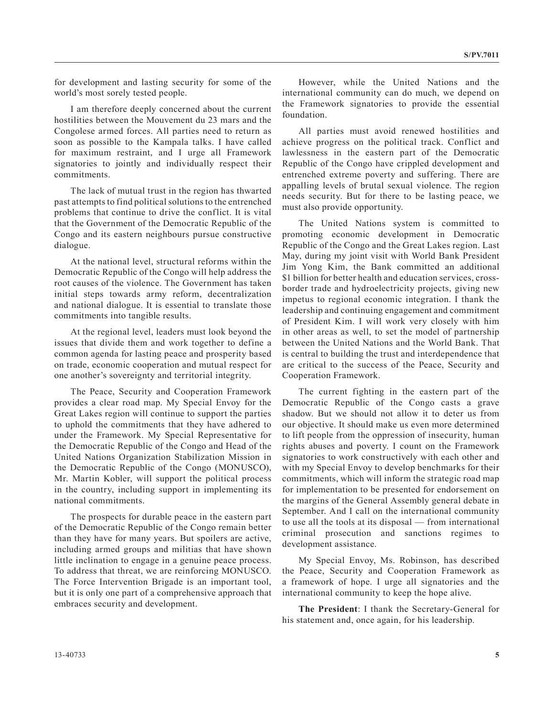for development and lasting security for some of the world's most sorely tested people.

I am therefore deeply concerned about the current hostilities between the Mouvement du 23 mars and the Congolese armed forces. All parties need to return as soon as possible to the Kampala talks. I have called for maximum restraint, and I urge all Framework signatories to jointly and individually respect their commitments.

The lack of mutual trust in the region has thwarted past attempts to find political solutions to the entrenched problems that continue to drive the conflict. It is vital that the Government of the Democratic Republic of the Congo and its eastern neighbours pursue constructive dialogue.

At the national level, structural reforms within the Democratic Republic of the Congo will help address the root causes of the violence. The Government has taken initial steps towards army reform, decentralization and national dialogue. It is essential to translate those commitments into tangible results.

At the regional level, leaders must look beyond the issues that divide them and work together to define a common agenda for lasting peace and prosperity based on trade, economic cooperation and mutual respect for one another's sovereignty and territorial integrity.

The Peace, Security and Cooperation Framework provides a clear road map. My Special Envoy for the Great Lakes region will continue to support the parties to uphold the commitments that they have adhered to under the Framework. My Special Representative for the Democratic Republic of the Congo and Head of the United Nations Organization Stabilization Mission in the Democratic Republic of the Congo (MONUSCO), Mr. Martin Kobler, will support the political process in the country, including support in implementing its national commitments.

The prospects for durable peace in the eastern part of the Democratic Republic of the Congo remain better than they have for many years. But spoilers are active, including armed groups and militias that have shown little inclination to engage in a genuine peace process. To address that threat, we are reinforcing MONUSCO. The Force Intervention Brigade is an important tool, but it is only one part of a comprehensive approach that embraces security and development.

However, while the United Nations and the international community can do much, we depend on the Framework signatories to provide the essential foundation.

All parties must avoid renewed hostilities and achieve progress on the political track. Conflict and lawlessness in the eastern part of the Democratic Republic of the Congo have crippled development and entrenched extreme poverty and suffering. There are appalling levels of brutal sexual violence. The region needs security. But for there to be lasting peace, we must also provide opportunity.

The United Nations system is committed to promoting economic development in Democratic Republic of the Congo and the Great Lakes region. Last May, during my joint visit with World Bank President Jim Yong Kim, the Bank committed an additional \$1 billion for better health and education services, crossborder trade and hydroelectricity projects, giving new impetus to regional economic integration. I thank the leadership and continuing engagement and commitment of President Kim. I will work very closely with him in other areas as well, to set the model of partnership between the United Nations and the World Bank. That is central to building the trust and interdependence that are critical to the success of the Peace, Security and Cooperation Framework.

The current fighting in the eastern part of the Democratic Republic of the Congo casts a grave shadow. But we should not allow it to deter us from our objective. It should make us even more determined to lift people from the oppression of insecurity, human rights abuses and poverty. I count on the Framework signatories to work constructively with each other and with my Special Envoy to develop benchmarks for their commitments, which will inform the strategic road map for implementation to be presented for endorsement on the margins of the General Assembly general debate in September. And I call on the international community to use all the tools at its disposal — from international criminal prosecution and sanctions regimes to development assistance.

My Special Envoy, Ms. Robinson, has described the Peace, Security and Cooperation Framework as a framework of hope. I urge all signatories and the international community to keep the hope alive.

**The President**: I thank the Secretary-General for his statement and, once again, for his leadership.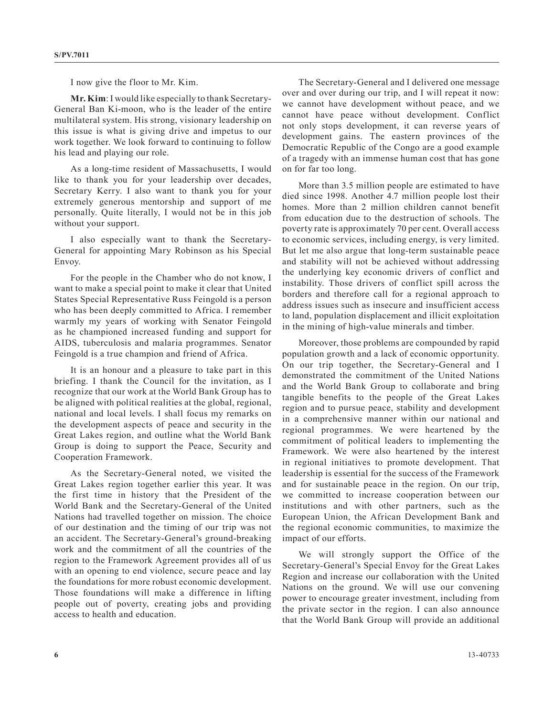I now give the floor to Mr. Kim.

**Mr. Kim**: I would like especially to thank Secretary-General Ban Ki-moon, who is the leader of the entire multilateral system. His strong, visionary leadership on this issue is what is giving drive and impetus to our work together. We look forward to continuing to follow his lead and playing our role.

As a long-time resident of Massachusetts, I would like to thank you for your leadership over decades, Secretary Kerry. I also want to thank you for your extremely generous mentorship and support of me personally. Quite literally, I would not be in this job without your support.

I also especially want to thank the Secretary-General for appointing Mary Robinson as his Special Envoy.

For the people in the Chamber who do not know, I want to make a special point to make it clear that United States Special Representative Russ Feingold is a person who has been deeply committed to Africa. I remember warmly my years of working with Senator Feingold as he championed increased funding and support for AIDS, tuberculosis and malaria programmes. Senator Feingold is a true champion and friend of Africa.

It is an honour and a pleasure to take part in this briefing. I thank the Council for the invitation, as I recognize that our work at the World Bank Group has to be aligned with political realities at the global, regional, national and local levels. I shall focus my remarks on the development aspects of peace and security in the Great Lakes region, and outline what the World Bank Group is doing to support the Peace, Security and Cooperation Framework.

As the Secretary-General noted, we visited the Great Lakes region together earlier this year. It was the first time in history that the President of the World Bank and the Secretary-General of the United Nations had travelled together on mission. The choice of our destination and the timing of our trip was not an accident. The Secretary-General's ground-breaking work and the commitment of all the countries of the region to the Framework Agreement provides all of us with an opening to end violence, secure peace and lay the foundations for more robust economic development. Those foundations will make a difference in lifting people out of poverty, creating jobs and providing access to health and education.

The Secretary-General and I delivered one message over and over during our trip, and I will repeat it now: we cannot have development without peace, and we cannot have peace without development. Conflict not only stops development, it can reverse years of development gains. The eastern provinces of the Democratic Republic of the Congo are a good example of a tragedy with an immense human cost that has gone on for far too long.

More than 3.5 million people are estimated to have died since 1998. Another 4.7 million people lost their homes. More than 2 million children cannot benefit from education due to the destruction of schools. The poverty rate is approximately 70 per cent. Overall access to economic services, including energy, is very limited. But let me also argue that long-term sustainable peace and stability will not be achieved without addressing the underlying key economic drivers of conflict and instability. Those drivers of conflict spill across the borders and therefore call for a regional approach to address issues such as insecure and insufficient access to land, population displacement and illicit exploitation in the mining of high-value minerals and timber.

Moreover, those problems are compounded by rapid population growth and a lack of economic opportunity. On our trip together, the Secretary-General and I demonstrated the commitment of the United Nations and the World Bank Group to collaborate and bring tangible benefits to the people of the Great Lakes region and to pursue peace, stability and development in a comprehensive manner within our national and regional programmes. We were heartened by the commitment of political leaders to implementing the Framework. We were also heartened by the interest in regional initiatives to promote development. That leadership is essential for the success of the Framework and for sustainable peace in the region. On our trip, we committed to increase cooperation between our institutions and with other partners, such as the European Union, the African Development Bank and the regional economic communities, to maximize the impact of our efforts.

We will strongly support the Office of the Secretary-General's Special Envoy for the Great Lakes Region and increase our collaboration with the United Nations on the ground. We will use our convening power to encourage greater investment, including from the private sector in the region. I can also announce that the World Bank Group will provide an additional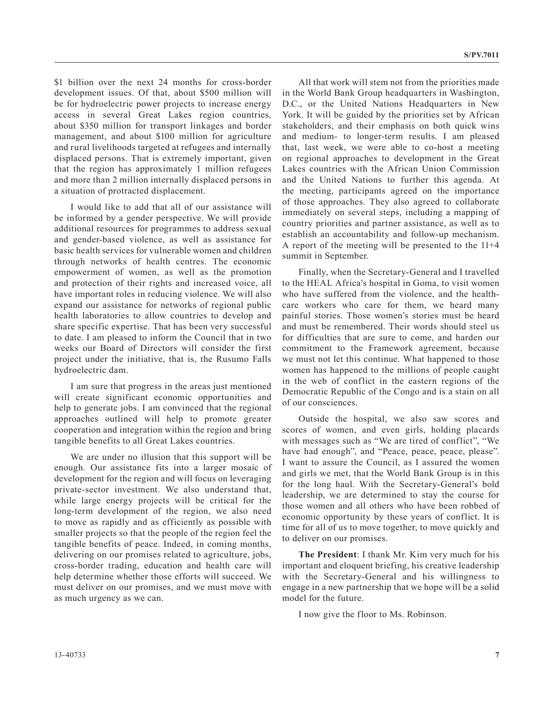\$1 billion over the next 24 months for cross-border development issues. Of that, about \$500 million will be for hydroelectric power projects to increase energy access in several Great Lakes region countries, about \$350 million for transport linkages and border management, and about \$100 million for agriculture and rural livelihoods targeted at refugees and internally displaced persons. That is extremely important, given that the region has approximately 1 million refugees and more than 2 million internally displaced persons in a situation of protracted displacement.

I would like to add that all of our assistance will be informed by a gender perspective. We will provide additional resources for programmes to address sexual and gender-based violence, as well as assistance for basic health services for vulnerable women and children through networks of health centres. The economic empowerment of women, as well as the promotion and protection of their rights and increased voice, all have important roles in reducing violence. We will also expand our assistance for networks of regional public health laboratories to allow countries to develop and share specific expertise. That has been very successful to date. I am pleased to inform the Council that in two weeks our Board of Directors will consider the first project under the initiative, that is, the Rusumo Falls hydroelectric dam.

I am sure that progress in the areas just mentioned will create significant economic opportunities and help to generate jobs. I am convinced that the regional approaches outlined will help to promote greater cooperation and integration within the region and bring tangible benefits to all Great Lakes countries.

We are under no illusion that this support will be enough. Our assistance fits into a larger mosaic of development for the region and will focus on leveraging private-sector investment. We also understand that, while large energy projects will be critical for the long-term development of the region, we also need to move as rapidly and as efficiently as possible with smaller projects so that the people of the region feel the tangible benefits of peace. Indeed, in coming months, delivering on our promises related to agriculture, jobs, cross-border trading, education and health care will help determine whether those efforts will succeed. We must deliver on our promises, and we must move with as much urgency as we can.

All that work will stem not from the priorities made in the World Bank Group headquarters in Washington, D.C., or the United Nations Headquarters in New York. It will be guided by the priorities set by African stakeholders, and their emphasis on both quick wins and medium- to longer-term results. I am pleased that, last week, we were able to co-host a meeting on regional approaches to development in the Great Lakes countries with the African Union Commission and the United Nations to further this agenda. At the meeting, participants agreed on the importance of those approaches. They also agreed to collaborate immediately on several steps, including a mapping of country priorities and partner assistance, as well as to establish an accountability and follow-up mechanism. A report of the meeting will be presented to the 11+4 summit in September.

Finally, when the Secretary-General and I travelled to the HEAL Africa's hospital in Goma, to visit women who have suffered from the violence, and the healthcare workers who care for them, we heard many painful stories. Those women's stories must be heard and must be remembered. Their words should steel us for difficulties that are sure to come, and harden our commitment to the Framework agreement, because we must not let this continue. What happened to those women has happened to the millions of people caught in the web of conflict in the eastern regions of the Democratic Republic of the Congo and is a stain on all of our consciences.

Outside the hospital, we also saw scores and scores of women, and even girls, holding placards with messages such as "We are tired of conflict", "We have had enough", and "Peace, peace, peace, please". I want to assure the Council, as I assured the women and girls we met, that the World Bank Group is in this for the long haul. With the Secretary-General's bold leadership, we are determined to stay the course for those women and all others who have been robbed of economic opportunity by these years of conflict. It is time for all of us to move together, to move quickly and to deliver on our promises.

**The President**: I thank Mr. Kim very much for his important and eloquent briefing, his creative leadership with the Secretary-General and his willingness to engage in a new partnership that we hope will be a solid model for the future.

I now give the floor to Ms. Robinson.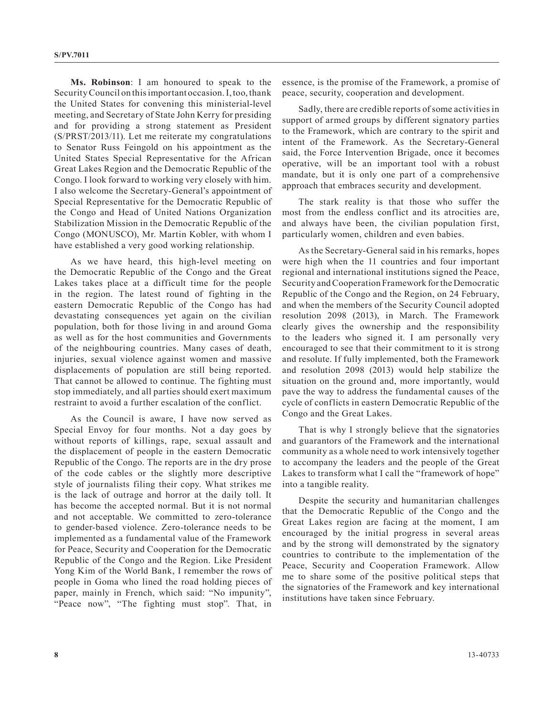**Ms. Robinson**: I am honoured to speak to the Security Council on this important occasion. I, too, thank the United States for convening this ministerial-level meeting, and Secretary of State John Kerry for presiding and for providing a strong statement as President (S/PRST/2013/11). Let me reiterate my congratulations to Senator Russ Feingold on his appointment as the United States Special Representative for the African Great Lakes Region and the Democratic Republic of the Congo. I look forward to working very closely with him. I also welcome the Secretary-General's appointment of Special Representative for the Democratic Republic of the Congo and Head of United Nations Organization Stabilization Mission in the Democratic Republic of the Congo (MONUSCO), Mr. Martin Kobler, with whom I have established a very good working relationship.

As we have heard, this high-level meeting on the Democratic Republic of the Congo and the Great Lakes takes place at a difficult time for the people in the region. The latest round of fighting in the eastern Democratic Republic of the Congo has had devastating consequences yet again on the civilian population, both for those living in and around Goma as well as for the host communities and Governments of the neighbouring countries. Many cases of death, injuries, sexual violence against women and massive displacements of population are still being reported. That cannot be allowed to continue. The fighting must stop immediately, and all parties should exert maximum restraint to avoid a further escalation of the conflict.

As the Council is aware, I have now served as Special Envoy for four months. Not a day goes by without reports of killings, rape, sexual assault and the displacement of people in the eastern Democratic Republic of the Congo. The reports are in the dry prose of the code cables or the slightly more descriptive style of journalists filing their copy. What strikes me is the lack of outrage and horror at the daily toll. It has become the accepted normal. But it is not normal and not acceptable. We committed to zero-tolerance to gender-based violence. Zero-tolerance needs to be implemented as a fundamental value of the Framework for Peace, Security and Cooperation for the Democratic Republic of the Congo and the Region. Like President Yong Kim of the World Bank, I remember the rows of people in Goma who lined the road holding pieces of paper, mainly in French, which said: "No impunity", "Peace now", "The fighting must stop". That, in

essence, is the promise of the Framework, a promise of peace, security, cooperation and development.

Sadly, there are credible reports of some activities in support of armed groups by different signatory parties to the Framework, which are contrary to the spirit and intent of the Framework. As the Secretary-General said, the Force Intervention Brigade, once it becomes operative, will be an important tool with a robust mandate, but it is only one part of a comprehensive approach that embraces security and development.

The stark reality is that those who suffer the most from the endless conflict and its atrocities are, and always have been, the civilian population first, particularly women, children and even babies.

As the Secretary-General said in his remarks, hopes were high when the 11 countries and four important regional and international institutions signed the Peace, Security and Cooperation Framework for the Democratic Republic of the Congo and the Region, on 24 February, and when the members of the Security Council adopted resolution 2098 (2013), in March. The Framework clearly gives the ownership and the responsibility to the leaders who signed it. I am personally very encouraged to see that their commitment to it is strong and resolute. If fully implemented, both the Framework and resolution 2098 (2013) would help stabilize the situation on the ground and, more importantly, would pave the way to address the fundamental causes of the cycle of conflicts in eastern Democratic Republic of the Congo and the Great Lakes.

That is why I strongly believe that the signatories and guarantors of the Framework and the international community as a whole need to work intensively together to accompany the leaders and the people of the Great Lakes to transform what I call the "framework of hope" into a tangible reality.

Despite the security and humanitarian challenges that the Democratic Republic of the Congo and the Great Lakes region are facing at the moment, I am encouraged by the initial progress in several areas and by the strong will demonstrated by the signatory countries to contribute to the implementation of the Peace, Security and Cooperation Framework. Allow me to share some of the positive political steps that the signatories of the Framework and key international institutions have taken since February.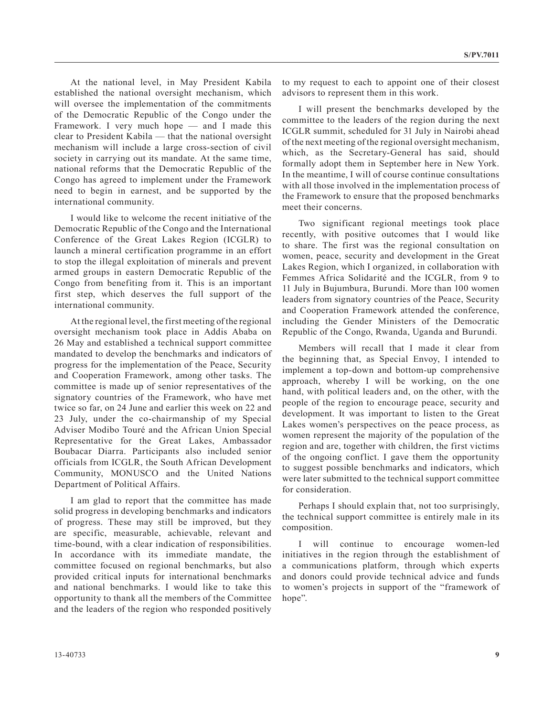At the national level, in May President Kabila established the national oversight mechanism, which will oversee the implementation of the commitments of the Democratic Republic of the Congo under the Framework. I very much hope — and I made this clear to President Kabila — that the national oversight mechanism will include a large cross-section of civil society in carrying out its mandate. At the same time, national reforms that the Democratic Republic of the Congo has agreed to implement under the Framework need to begin in earnest, and be supported by the international community.

I would like to welcome the recent initiative of the Democratic Republic of the Congo and the International Conference of the Great Lakes Region (ICGLR) to launch a mineral certification programme in an effort to stop the illegal exploitation of minerals and prevent armed groups in eastern Democratic Republic of the Congo from benefiting from it. This is an important first step, which deserves the full support of the international community.

At the regional level, the first meeting of the regional oversight mechanism took place in Addis Ababa on 26 May and established a technical support committee mandated to develop the benchmarks and indicators of progress for the implementation of the Peace, Security and Cooperation Framework, among other tasks. The committee is made up of senior representatives of the signatory countries of the Framework, who have met twice so far, on 24 June and earlier this week on 22 and 23 July, under the co-chairmanship of my Special Adviser Modibo Touré and the African Union Special Representative for the Great Lakes, Ambassador Boubacar Diarra. Participants also included senior officials from ICGLR, the South African Development Community, MONUSCO and the United Nations Department of Political Affairs.

I am glad to report that the committee has made solid progress in developing benchmarks and indicators of progress. These may still be improved, but they are specific, measurable, achievable, relevant and time-bound, with a clear indication of responsibilities. In accordance with its immediate mandate, the committee focused on regional benchmarks, but also provided critical inputs for international benchmarks and national benchmarks. I would like to take this opportunity to thank all the members of the Committee and the leaders of the region who responded positively

to my request to each to appoint one of their closest advisors to represent them in this work.

I will present the benchmarks developed by the committee to the leaders of the region during the next ICGLR summit, scheduled for 31 July in Nairobi ahead of the next meeting of the regional oversight mechanism, which, as the Secretary-General has said, should formally adopt them in September here in New York. In the meantime, I will of course continue consultations with all those involved in the implementation process of the Framework to ensure that the proposed benchmarks meet their concerns.

Two significant regional meetings took place recently, with positive outcomes that I would like to share. The first was the regional consultation on women, peace, security and development in the Great Lakes Region, which I organized, in collaboration with Femmes Africa Solidarité and the ICGLR, from 9 to 11 July in Bujumbura, Burundi. More than 100 women leaders from signatory countries of the Peace, Security and Cooperation Framework attended the conference, including the Gender Ministers of the Democratic Republic of the Congo, Rwanda, Uganda and Burundi.

Members will recall that I made it clear from the beginning that, as Special Envoy, I intended to implement a top-down and bottom-up comprehensive approach, whereby I will be working, on the one hand, with political leaders and, on the other, with the people of the region to encourage peace, security and development. It was important to listen to the Great Lakes women's perspectives on the peace process, as women represent the majority of the population of the region and are, together with children, the first victims of the ongoing conflict. I gave them the opportunity to suggest possible benchmarks and indicators, which were later submitted to the technical support committee for consideration.

Perhaps I should explain that, not too surprisingly, the technical support committee is entirely male in its composition.

I will continue to encourage women-led initiatives in the region through the establishment of a communications platform, through which experts and donors could provide technical advice and funds to women's projects in support of the "framework of hope".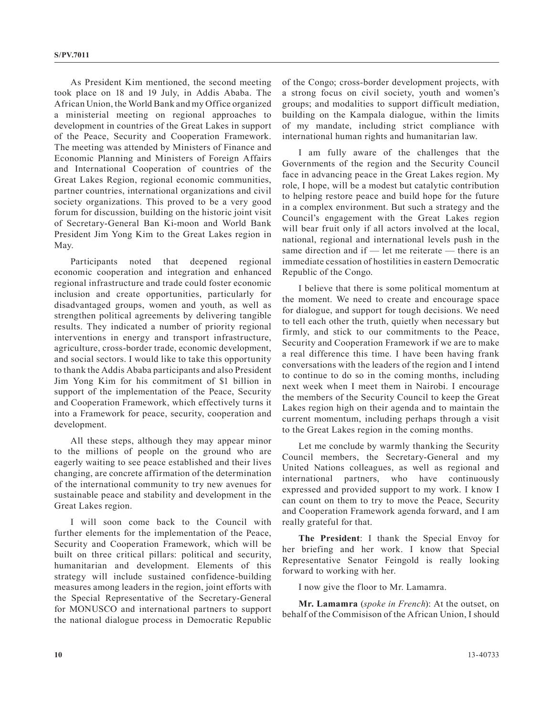As President Kim mentioned, the second meeting took place on 18 and 19 July, in Addis Ababa. The African Union, the World Bank and my Office organized a ministerial meeting on regional approaches to development in countries of the Great Lakes in support of the Peace, Security and Cooperation Framework. The meeting was attended by Ministers of Finance and Economic Planning and Ministers of Foreign Affairs and International Cooperation of countries of the Great Lakes Region, regional economic communities, partner countries, international organizations and civil society organizations. This proved to be a very good forum for discussion, building on the historic joint visit of Secretary-General Ban Ki-moon and World Bank President Jim Yong Kim to the Great Lakes region in May.

Participants noted that deepened regional economic cooperation and integration and enhanced regional infrastructure and trade could foster economic inclusion and create opportunities, particularly for disadvantaged groups, women and youth, as well as strengthen political agreements by delivering tangible results. They indicated a number of priority regional interventions in energy and transport infrastructure, agriculture, cross-border trade, economic development, and social sectors. I would like to take this opportunity to thank the Addis Ababa participants and also President Jim Yong Kim for his commitment of \$1 billion in support of the implementation of the Peace, Security and Cooperation Framework, which effectively turns it into a Framework for peace, security, cooperation and development.

All these steps, although they may appear minor to the millions of people on the ground who are eagerly waiting to see peace established and their lives changing, are concrete affirmation of the determination of the international community to try new avenues for sustainable peace and stability and development in the Great Lakes region.

I will soon come back to the Council with further elements for the implementation of the Peace, Security and Cooperation Framework, which will be built on three critical pillars: political and security, humanitarian and development. Elements of this strategy will include sustained confidence-building measures among leaders in the region, joint efforts with the Special Representative of the Secretary-General for MONUSCO and international partners to support the national dialogue process in Democratic Republic of the Congo; cross-border development projects, with a strong focus on civil society, youth and women's groups; and modalities to support difficult mediation, building on the Kampala dialogue, within the limits of my mandate, including strict compliance with international human rights and humanitarian law.

I am fully aware of the challenges that the Governments of the region and the Security Council face in advancing peace in the Great Lakes region. My role, I hope, will be a modest but catalytic contribution to helping restore peace and build hope for the future in a complex environment. But such a strategy and the Council's engagement with the Great Lakes region will bear fruit only if all actors involved at the local, national, regional and international levels push in the same direction and if — let me reiterate — there is an immediate cessation of hostilities in eastern Democratic Republic of the Congo.

I believe that there is some political momentum at the moment. We need to create and encourage space for dialogue, and support for tough decisions. We need to tell each other the truth, quietly when necessary but firmly, and stick to our commitments to the Peace, Security and Cooperation Framework if we are to make a real difference this time. I have been having frank conversations with the leaders of the region and I intend to continue to do so in the coming months, including next week when I meet them in Nairobi. I encourage the members of the Security Council to keep the Great Lakes region high on their agenda and to maintain the current momentum, including perhaps through a visit to the Great Lakes region in the coming months.

Let me conclude by warmly thanking the Security Council members, the Secretary-General and my United Nations colleagues, as well as regional and international partners, who have continuously expressed and provided support to my work. I know I can count on them to try to move the Peace, Security and Cooperation Framework agenda forward, and I am really grateful for that.

**The President**: I thank the Special Envoy for her briefing and her work. I know that Special Representative Senator Feingold is really looking forward to working with her.

I now give the floor to Mr. Lamamra.

**Mr. Lamamra** (*spoke in French*): At the outset, on behalf of the Commisison of the African Union, I should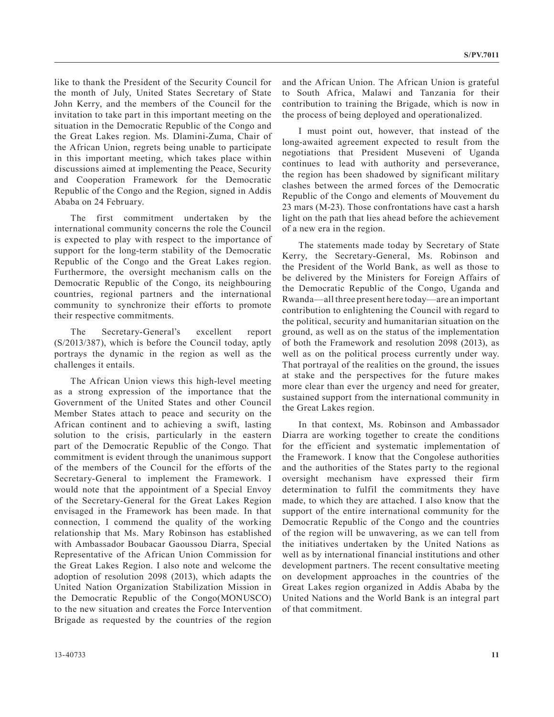like to thank the President of the Security Council for the month of July, United States Secretary of State John Kerry, and the members of the Council for the invitation to take part in this important meeting on the situation in the Democratic Republic of the Congo and the Great Lakes region. Ms. Dlamini-Zuma, Chair of the African Union, regrets being unable to participate in this important meeting, which takes place within discussions aimed at implementing the Peace, Security and Cooperation Framework for the Democratic Republic of the Congo and the Region, signed in Addis Ababa on 24 February.

The first commitment undertaken by the international community concerns the role the Council is expected to play with respect to the importance of support for the long-term stability of the Democratic Republic of the Congo and the Great Lakes region. Furthermore, the oversight mechanism calls on the Democratic Republic of the Congo, its neighbouring countries, regional partners and the international community to synchronize their efforts to promote their respective commitments.

The Secretary-General's excellent report (S/2013/387), which is before the Council today, aptly portrays the dynamic in the region as well as the challenges it entails.

The African Union views this high-level meeting as a strong expression of the importance that the Government of the United States and other Council Member States attach to peace and security on the African continent and to achieving a swift, lasting solution to the crisis, particularly in the eastern part of the Democratic Republic of the Congo. That commitment is evident through the unanimous support of the members of the Council for the efforts of the Secretary-General to implement the Framework. I would note that the appointment of a Special Envoy of the Secretary-General for the Great Lakes Region envisaged in the Framework has been made. In that connection, I commend the quality of the working relationship that Ms. Mary Robinson has established with Ambassador Boubacar Gaoussou Diarra, Special Representative of the African Union Commission for the Great Lakes Region. I also note and welcome the adoption of resolution 2098 (2013), which adapts the United Nation Organization Stabilization Mission in the Democratic Republic of the Congo(MONUSCO) to the new situation and creates the Force Intervention Brigade as requested by the countries of the region

and the African Union. The African Union is grateful to South Africa, Malawi and Tanzania for their contribution to training the Brigade, which is now in the process of being deployed and operationalized.

I must point out, however, that instead of the long-awaited agreement expected to result from the negotiations that President Museveni of Uganda continues to lead with authority and perseverance, the region has been shadowed by significant military clashes between the armed forces of the Democratic Republic of the Congo and elements of Mouvement du 23 mars (M-23). Those confrontations have cast a harsh light on the path that lies ahead before the achievement of a new era in the region.

The statements made today by Secretary of State Kerry, the Secretary-General, Ms. Robinson and the President of the World Bank, as well as those to be delivered by the Ministers for Foreign Affairs of the Democratic Republic of the Congo, Uganda and Rwanda—all three present here today—are an important contribution to enlightening the Council with regard to the political, security and humanitarian situation on the ground, as well as on the status of the implementation of both the Framework and resolution 2098 (2013), as well as on the political process currently under way. That portrayal of the realities on the ground, the issues at stake and the perspectives for the future makes more clear than ever the urgency and need for greater, sustained support from the international community in the Great Lakes region.

In that context, Ms. Robinson and Ambassador Diarra are working together to create the conditions for the efficient and systematic implementation of the Framework. I know that the Congolese authorities and the authorities of the States party to the regional oversight mechanism have expressed their firm determination to fulfil the commitments they have made, to which they are attached. I also know that the support of the entire international community for the Democratic Republic of the Congo and the countries of the region will be unwavering, as we can tell from the initiatives undertaken by the United Nations as well as by international financial institutions and other development partners. The recent consultative meeting on development approaches in the countries of the Great Lakes region organized in Addis Ababa by the United Nations and the World Bank is an integral part of that commitment.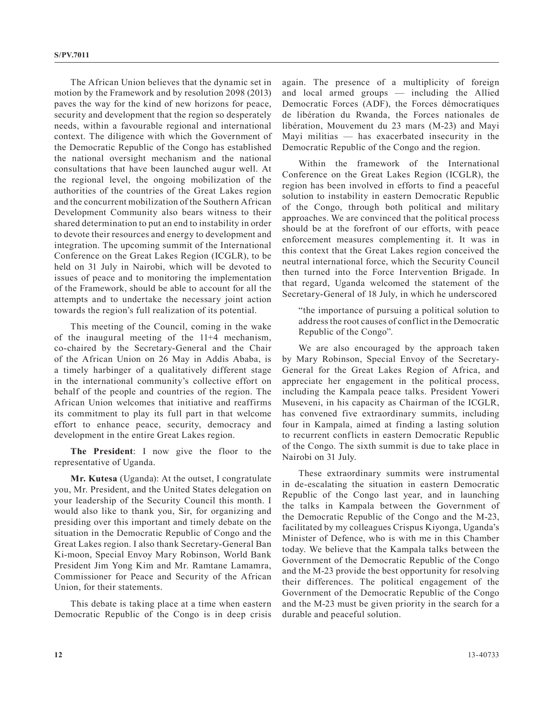The African Union believes that the dynamic set in motion by the Framework and by resolution 2098 (2013) paves the way for the kind of new horizons for peace, security and development that the region so desperately needs, within a favourable regional and international context. The diligence with which the Government of the Democratic Republic of the Congo has established the national oversight mechanism and the national consultations that have been launched augur well. At the regional level, the ongoing mobilization of the authorities of the countries of the Great Lakes region and the concurrent mobilization of the Southern African Development Community also bears witness to their shared determination to put an end to instability in order to devote their resources and energy to development and integration. The upcoming summit of the International Conference on the Great Lakes Region (ICGLR), to be held on 31 July in Nairobi, which will be devoted to issues of peace and to monitoring the implementation of the Framework, should be able to account for all the attempts and to undertake the necessary joint action towards the region's full realization of its potential.

This meeting of the Council, coming in the wake of the inaugural meeting of the 11+4 mechanism, co-chaired by the Secretary-General and the Chair of the African Union on 26 May in Addis Ababa, is a timely harbinger of a qualitatively different stage in the international community's collective effort on behalf of the people and countries of the region. The African Union welcomes that initiative and reaffirms its commitment to play its full part in that welcome effort to enhance peace, security, democracy and development in the entire Great Lakes region.

**The President**: I now give the floor to the representative of Uganda.

**Mr. Kutesa** (Uganda): At the outset, I congratulate you, Mr. President, and the United States delegation on your leadership of the Security Council this month. I would also like to thank you, Sir, for organizing and presiding over this important and timely debate on the situation in the Democratic Republic of Congo and the Great Lakes region. I also thank Secretary-General Ban Ki-moon, Special Envoy Mary Robinson, World Bank President Jim Yong Kim and Mr. Ramtane Lamamra, Commissioner for Peace and Security of the African Union, for their statements.

This debate is taking place at a time when eastern Democratic Republic of the Congo is in deep crisis again. The presence of a multiplicity of foreign and local armed groups — including the Allied Democratic Forces (ADF), the Forces démocratiques de libération du Rwanda, the Forces nationales de libération, Mouvement du 23 mars (M-23) and Mayi Mayi militias — has exacerbated insecurity in the Democratic Republic of the Congo and the region.

Within the framework of the International Conference on the Great Lakes Region (ICGLR), the region has been involved in efforts to find a peaceful solution to instability in eastern Democratic Republic of the Congo, through both political and military approaches. We are convinced that the political process should be at the forefront of our efforts, with peace enforcement measures complementing it. It was in this context that the Great Lakes region conceived the neutral international force, which the Security Council then turned into the Force Intervention Brigade. In that regard, Uganda welcomed the statement of the Secretary-General of 18 July, in which he underscored

"the importance of pursuing a political solution to address the root causes of conflict in the Democratic Republic of the Congo".

We are also encouraged by the approach taken by Mary Robinson, Special Envoy of the Secretary-General for the Great Lakes Region of Africa, and appreciate her engagement in the political process, including the Kampala peace talks. President Yoweri Museveni, in his capacity as Chairman of the ICGLR, has convened five extraordinary summits, including four in Kampala, aimed at finding a lasting solution to recurrent conflicts in eastern Democratic Republic of the Congo. The sixth summit is due to take place in Nairobi on 31 July.

These extraordinary summits were instrumental in de-escalating the situation in eastern Democratic Republic of the Congo last year, and in launching the talks in Kampala between the Government of the Democratic Republic of the Congo and the M-23, facilitated by my colleagues Crispus Kiyonga, Uganda's Minister of Defence, who is with me in this Chamber today. We believe that the Kampala talks between the Government of the Democratic Republic of the Congo and the M-23 provide the best opportunity for resolving their differences. The political engagement of the Government of the Democratic Republic of the Congo and the M-23 must be given priority in the search for a durable and peaceful solution.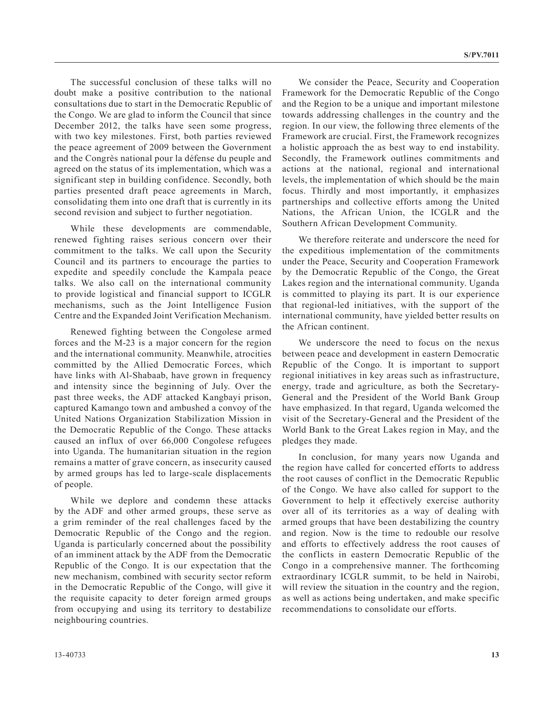The successful conclusion of these talks will no doubt make a positive contribution to the national consultations due to start in the Democratic Republic of the Congo. We are glad to inform the Council that since December 2012, the talks have seen some progress, with two key milestones. First, both parties reviewed the peace agreement of 2009 between the Government and the Congrès national pour la défense du peuple and agreed on the status of its implementation, which was a significant step in building confidence. Secondly, both parties presented draft peace agreements in March, consolidating them into one draft that is currently in its second revision and subject to further negotiation.

While these developments are commendable, renewed fighting raises serious concern over their commitment to the talks. We call upon the Security Council and its partners to encourage the parties to expedite and speedily conclude the Kampala peace talks. We also call on the international community to provide logistical and financial support to ICGLR mechanisms, such as the Joint Intelligence Fusion Centre and the Expanded Joint Verification Mechanism.

Renewed fighting between the Congolese armed forces and the M-23 is a major concern for the region and the international community. Meanwhile, atrocities committed by the Allied Democratic Forces, which have links with Al-Shabaab, have grown in frequency and intensity since the beginning of July. Over the past three weeks, the ADF attacked Kangbayi prison, captured Kamango town and ambushed a convoy of the United Nations Organization Stabilization Mission in the Democratic Republic of the Congo. These attacks caused an influx of over 66,000 Congolese refugees into Uganda. The humanitarian situation in the region remains a matter of grave concern, as insecurity caused by armed groups has led to large-scale displacements of people.

While we deplore and condemn these attacks by the ADF and other armed groups, these serve as a grim reminder of the real challenges faced by the Democratic Republic of the Congo and the region. Uganda is particularly concerned about the possibility of an imminent attack by the ADF from the Democratic Republic of the Congo. It is our expectation that the new mechanism, combined with security sector reform in the Democratic Republic of the Congo, will give it the requisite capacity to deter foreign armed groups from occupying and using its territory to destabilize neighbouring countries.

We consider the Peace, Security and Cooperation Framework for the Democratic Republic of the Congo and the Region to be a unique and important milestone towards addressing challenges in the country and the region. In our view, the following three elements of the Framework are crucial. First, the Framework recognizes a holistic approach the as best way to end instability. Secondly, the Framework outlines commitments and actions at the national, regional and international levels, the implementation of which should be the main focus. Thirdly and most importantly, it emphasizes partnerships and collective efforts among the United Nations, the African Union, the ICGLR and the Southern African Development Community.

We therefore reiterate and underscore the need for the expeditious implementation of the commitments under the Peace, Security and Cooperation Framework by the Democratic Republic of the Congo, the Great Lakes region and the international community. Uganda is committed to playing its part. It is our experience that regional-led initiatives, with the support of the international community, have yielded better results on the African continent.

We underscore the need to focus on the nexus between peace and development in eastern Democratic Republic of the Congo. It is important to support regional initiatives in key areas such as infrastructure, energy, trade and agriculture, as both the Secretary-General and the President of the World Bank Group have emphasized. In that regard, Uganda welcomed the visit of the Secretary-General and the President of the World Bank to the Great Lakes region in May, and the pledges they made.

In conclusion, for many years now Uganda and the region have called for concerted efforts to address the root causes of conflict in the Democratic Republic of the Congo. We have also called for support to the Government to help it effectively exercise authority over all of its territories as a way of dealing with armed groups that have been destabilizing the country and region. Now is the time to redouble our resolve and efforts to effectively address the root causes of the conflicts in eastern Democratic Republic of the Congo in a comprehensive manner. The forthcoming extraordinary ICGLR summit, to be held in Nairobi, will review the situation in the country and the region, as well as actions being undertaken, and make specific recommendations to consolidate our efforts.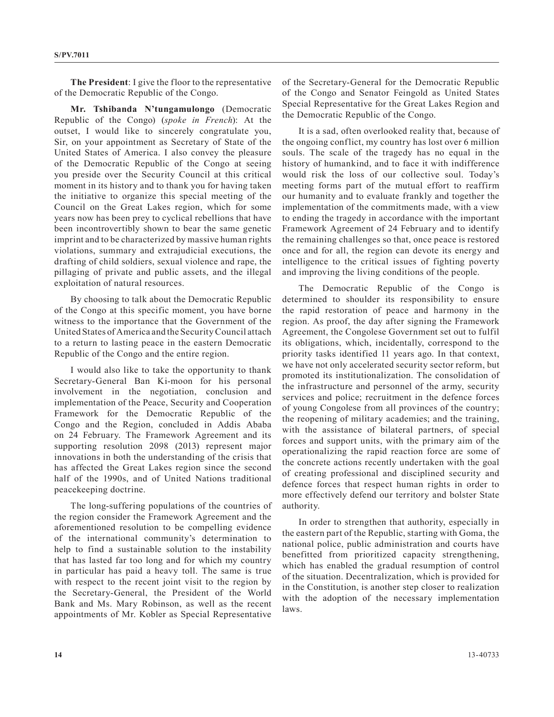**The President**: I give the floor to the representative of the Democratic Republic of the Congo.

**Mr. Tshibanda N'tungamulongo** (Democratic Republic of the Congo) (*spoke in French*): At the outset, I would like to sincerely congratulate you, Sir, on your appointment as Secretary of State of the United States of America. I also convey the pleasure of the Democratic Republic of the Congo at seeing you preside over the Security Council at this critical moment in its history and to thank you for having taken the initiative to organize this special meeting of the Council on the Great Lakes region, which for some years now has been prey to cyclical rebellions that have been incontrovertibly shown to bear the same genetic imprint and to be characterized by massive human rights violations, summary and extrajudicial executions, the drafting of child soldiers, sexual violence and rape, the pillaging of private and public assets, and the illegal exploitation of natural resources.

By choosing to talk about the Democratic Republic of the Congo at this specific moment, you have borne witness to the importance that the Government of the United States of America and the Security Council attach to a return to lasting peace in the eastern Democratic Republic of the Congo and the entire region.

I would also like to take the opportunity to thank Secretary-General Ban Ki-moon for his personal involvement in the negotiation, conclusion and implementation of the Peace, Security and Cooperation Framework for the Democratic Republic of the Congo and the Region, concluded in Addis Ababa on 24 February. The Framework Agreement and its supporting resolution 2098 (2013) represent major innovations in both the understanding of the crisis that has affected the Great Lakes region since the second half of the 1990s, and of United Nations traditional peacekeeping doctrine.

The long-suffering populations of the countries of the region consider the Framework Agreement and the aforementioned resolution to be compelling evidence of the international community's determination to help to find a sustainable solution to the instability that has lasted far too long and for which my country in particular has paid a heavy toll. The same is true with respect to the recent joint visit to the region by the Secretary-General, the President of the World Bank and Ms. Mary Robinson, as well as the recent appointments of Mr. Kobler as Special Representative

of the Secretary-General for the Democratic Republic of the Congo and Senator Feingold as United States Special Representative for the Great Lakes Region and the Democratic Republic of the Congo.

It is a sad, often overlooked reality that, because of the ongoing conflict, my country has lost over 6 million souls. The scale of the tragedy has no equal in the history of humankind, and to face it with indifference would risk the loss of our collective soul. Today's meeting forms part of the mutual effort to reaffirm our humanity and to evaluate frankly and together the implementation of the commitments made, with a view to ending the tragedy in accordance with the important Framework Agreement of 24 February and to identify the remaining challenges so that, once peace is restored once and for all, the region can devote its energy and intelligence to the critical issues of fighting poverty and improving the living conditions of the people.

The Democratic Republic of the Congo is determined to shoulder its responsibility to ensure the rapid restoration of peace and harmony in the region. As proof, the day after signing the Framework Agreement, the Congolese Government set out to fulfil its obligations, which, incidentally, correspond to the priority tasks identified 11 years ago. In that context, we have not only accelerated security sector reform, but promoted its institutionalization. The consolidation of the infrastructure and personnel of the army, security services and police; recruitment in the defence forces of young Congolese from all provinces of the country; the reopening of military academies; and the training, with the assistance of bilateral partners, of special forces and support units, with the primary aim of the operationalizing the rapid reaction force are some of the concrete actions recently undertaken with the goal of creating professional and disciplined security and defence forces that respect human rights in order to more effectively defend our territory and bolster State authority.

In order to strengthen that authority, especially in the eastern part of the Republic, starting with Goma, the national police, public administration and courts have benefitted from prioritized capacity strengthening, which has enabled the gradual resumption of control of the situation. Decentralization, which is provided for in the Constitution, is another step closer to realization with the adoption of the necessary implementation laws.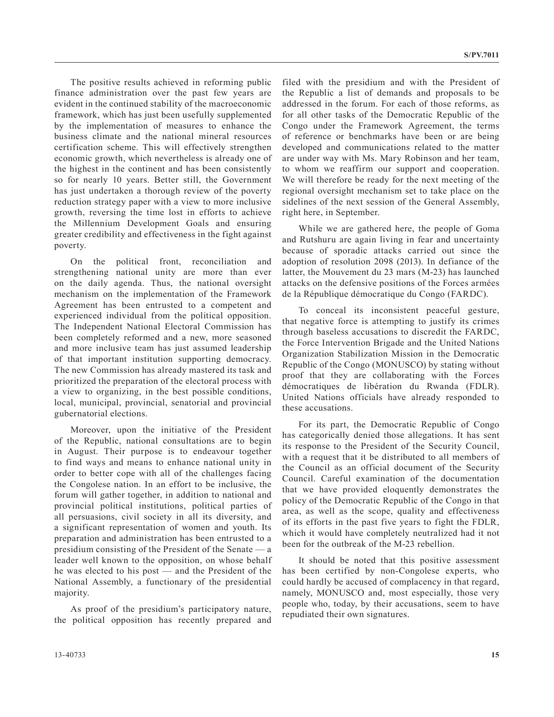The positive results achieved in reforming public finance administration over the past few years are evident in the continued stability of the macroeconomic framework, which has just been usefully supplemented by the implementation of measures to enhance the business climate and the national mineral resources certification scheme. This will effectively strengthen economic growth, which nevertheless is already one of the highest in the continent and has been consistently so for nearly 10 years. Better still, the Government has just undertaken a thorough review of the poverty reduction strategy paper with a view to more inclusive growth, reversing the time lost in efforts to achieve the Millennium Development Goals and ensuring greater credibility and effectiveness in the fight against poverty.

On the political front, reconciliation and strengthening national unity are more than ever on the daily agenda. Thus, the national oversight mechanism on the implementation of the Framework Agreement has been entrusted to a competent and experienced individual from the political opposition. The Independent National Electoral Commission has been completely reformed and a new, more seasoned and more inclusive team has just assumed leadership of that important institution supporting democracy. The new Commission has already mastered its task and prioritized the preparation of the electoral process with a view to organizing, in the best possible conditions, local, municipal, provincial, senatorial and provincial gubernatorial elections.

Moreover, upon the initiative of the President of the Republic, national consultations are to begin in August. Their purpose is to endeavour together to find ways and means to enhance national unity in order to better cope with all of the challenges facing the Congolese nation. In an effort to be inclusive, the forum will gather together, in addition to national and provincial political institutions, political parties of all persuasions, civil society in all its diversity, and a significant representation of women and youth. Its preparation and administration has been entrusted to a presidium consisting of the President of the Senate — a leader well known to the opposition, on whose behalf he was elected to his post — and the President of the National Assembly, a functionary of the presidential majority.

As proof of the presidium's participatory nature, the political opposition has recently prepared and filed with the presidium and with the President of the Republic a list of demands and proposals to be addressed in the forum. For each of those reforms, as for all other tasks of the Democratic Republic of the Congo under the Framework Agreement, the terms of reference or benchmarks have been or are being developed and communications related to the matter are under way with Ms. Mary Robinson and her team, to whom we reaffirm our support and cooperation. We will therefore be ready for the next meeting of the regional oversight mechanism set to take place on the sidelines of the next session of the General Assembly, right here, in September.

While we are gathered here, the people of Goma and Rutshuru are again living in fear and uncertainty because of sporadic attacks carried out since the adoption of resolution 2098 (2013). In defiance of the latter, the Mouvement du 23 mars (M-23) has launched attacks on the defensive positions of the Forces armées de la République démocratique du Congo (FARDC).

To conceal its inconsistent peaceful gesture, that negative force is attempting to justify its crimes through baseless accusations to discredit the FARDC, the Force Intervention Brigade and the United Nations Organization Stabilization Mission in the Democratic Republic of the Congo (MONUSCO) by stating without proof that they are collaborating with the Forces démocratiques de libération du Rwanda (FDLR). United Nations officials have already responded to these accusations.

For its part, the Democratic Republic of Congo has categorically denied those allegations. It has sent its response to the President of the Security Council, with a request that it be distributed to all members of the Council as an official document of the Security Council. Careful examination of the documentation that we have provided eloquently demonstrates the policy of the Democratic Republic of the Congo in that area, as well as the scope, quality and effectiveness of its efforts in the past five years to fight the FDLR, which it would have completely neutralized had it not been for the outbreak of the M-23 rebellion.

It should be noted that this positive assessment has been certified by non-Congolese experts, who could hardly be accused of complacency in that regard, namely, MONUSCO and, most especially, those very people who, today, by their accusations, seem to have repudiated their own signatures.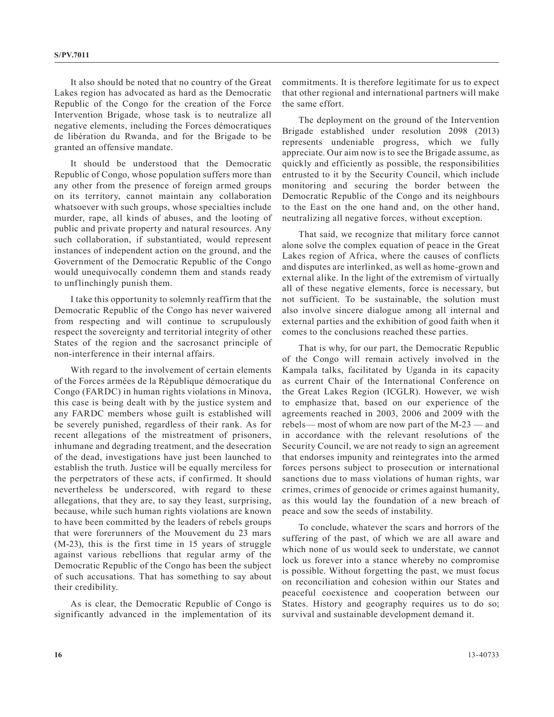It also should be noted that no country of the Great Lakes region has advocated as hard as the Democratic Republic of the Congo for the creation of the Force Intervention Brigade, whose task is to neutralize all negative elements, including the Forces démocratiques de libération du Rwanda, and for the Brigade to be granted an offensive mandate.

It should be understood that the Democratic Republic of Congo, whose population suffers more than any other from the presence of foreign armed groups on its territory, cannot maintain any collaboration whatsoever with such groups, whose specialties include murder, rape, all kinds of abuses, and the looting of public and private property and natural resources. Any such collaboration, if substantiated, would represent instances of independent action on the ground, and the Government of the Democratic Republic of the Congo would unequivocally condemn them and stands ready to unflinchingly punish them.

I take this opportunity to solemnly reaffirm that the Democratic Republic of the Congo has never waivered from respecting and will continue to scrupulously respect the sovereignty and territorial integrity of other States of the region and the sacrosanct principle of non-interference in their internal affairs.

With regard to the involvement of certain elements of the Forces armées de la République démocratique du Congo (FARDC) in human rights violations in Minova, this case is being dealt with by the justice system and any FARDC members whose guilt is established will be severely punished, regardless of their rank. As for recent allegations of the mistreatment of prisoners, inhumane and degrading treatment, and the desecration of the dead, investigations have just been launched to establish the truth. Justice will be equally merciless for the perpetrators of these acts, if confirmed. It should nevertheless be underscored, with regard to these allegations, that they are, to say they least, surprising, because, while such human rights violations are known to have been committed by the leaders of rebels groups that were forerunners of the Mouvement du 23 mars (M-23), this is the first time in 15 years of struggle against various rebellions that regular army of the Democratic Republic of the Congo has been the subject of such accusations. That has something to say about their credibility.

As is clear, the Democratic Republic of Congo is significantly advanced in the implementation of its commitments. It is therefore legitimate for us to expect that other regional and international partners will make the same effort.

The deployment on the ground of the Intervention Brigade established under resolution 2098 (2013) represents undeniable progress, which we fully appreciate. Our aim now is to see the Brigade assume, as quickly and efficiently as possible, the responsibilities entrusted to it by the Security Council, which include monitoring and securing the border between the Democratic Republic of the Congo and its neighbours to the East on the one hand and, on the other hand, neutralizing all negative forces, without exception.

That said, we recognize that military force cannot alone solve the complex equation of peace in the Great Lakes region of Africa, where the causes of conflicts and disputes are interlinked, as well as home-grown and external alike. In the light of the extremism of virtually all of these negative elements, force is necessary, but not sufficient. To be sustainable, the solution must also involve sincere dialogue among all internal and external parties and the exhibition of good faith when it comes to the conclusions reached these parties.

That is why, for our part, the Democratic Republic of the Congo will remain actively involved in the Kampala talks, facilitated by Uganda in its capacity as current Chair of the International Conference on the Great Lakes Region (ICGLR). However, we wish to emphasize that, based on our experience of the agreements reached in 2003, 2006 and 2009 with the rebels— most of whom are now part of the  $M-23$ — and in accordance with the relevant resolutions of the Security Council, we are not ready to sign an agreement that endorses impunity and reintegrates into the armed forces persons subject to prosecution or international sanctions due to mass violations of human rights, war crimes, crimes of genocide or crimes against humanity, as this would lay the foundation of a new breach of peace and sow the seeds of instability.

To conclude, whatever the scars and horrors of the suffering of the past, of which we are all aware and which none of us would seek to understate, we cannot lock us forever into a stance whereby no compromise is possible. Without forgetting the past, we must focus on reconciliation and cohesion within our States and peaceful coexistence and cooperation between our States. History and geography requires us to do so; survival and sustainable development demand it.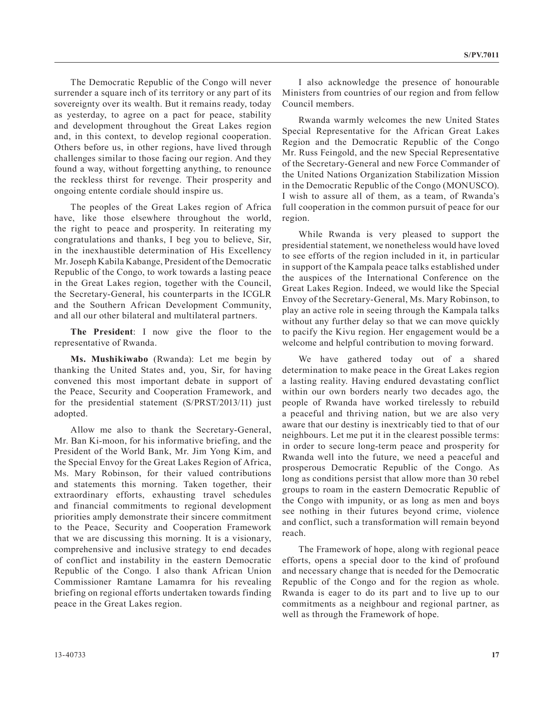The Democratic Republic of the Congo will never surrender a square inch of its territory or any part of its sovereignty over its wealth. But it remains ready, today as yesterday, to agree on a pact for peace, stability and development throughout the Great Lakes region and, in this context, to develop regional cooperation. Others before us, in other regions, have lived through challenges similar to those facing our region. And they found a way, without forgetting anything, to renounce the reckless thirst for revenge. Their prosperity and ongoing entente cordiale should inspire us.

The peoples of the Great Lakes region of Africa have, like those elsewhere throughout the world, the right to peace and prosperity. In reiterating my congratulations and thanks, I beg you to believe, Sir, in the inexhaustible determination of His Excellency Mr. Joseph Kabila Kabange, President of the Democratic Republic of the Congo, to work towards a lasting peace in the Great Lakes region, together with the Council, the Secretary-General, his counterparts in the ICGLR and the Southern African Development Community, and all our other bilateral and multilateral partners.

**The President**: I now give the floor to the representative of Rwanda.

**Ms. Mushikiwabo** (Rwanda): Let me begin by thanking the United States and, you, Sir, for having convened this most important debate in support of the Peace, Security and Cooperation Framework, and for the presidential statement (S/PRST/2013/11) just adopted.

Allow me also to thank the Secretary-General, Mr. Ban Ki-moon, for his informative briefing, and the President of the World Bank, Mr. Jim Yong Kim, and the Special Envoy for the Great Lakes Region of Africa, Ms. Mary Robinson, for their valued contributions and statements this morning. Taken together, their extraordinary efforts, exhausting travel schedules and financial commitments to regional development priorities amply demonstrate their sincere commitment to the Peace, Security and Cooperation Framework that we are discussing this morning. It is a visionary, comprehensive and inclusive strategy to end decades of conflict and instability in the eastern Democratic Republic of the Congo. I also thank African Union Commissioner Ramtane Lamamra for his revealing briefing on regional efforts undertaken towards finding peace in the Great Lakes region.

I also acknowledge the presence of honourable Ministers from countries of our region and from fellow Council members.

Rwanda warmly welcomes the new United States Special Representative for the African Great Lakes Region and the Democratic Republic of the Congo Mr. Russ Feingold, and the new Special Representative of the Secretary-General and new Force Commander of the United Nations Organization Stabilization Mission in the Democratic Republic of the Congo (MONUSCO). I wish to assure all of them, as a team, of Rwanda's full cooperation in the common pursuit of peace for our region.

While Rwanda is very pleased to support the presidential statement, we nonetheless would have loved to see efforts of the region included in it, in particular in support of the Kampala peace talks established under the auspices of the International Conference on the Great Lakes Region. Indeed, we would like the Special Envoy of the Secretary-General, Ms. Mary Robinson, to play an active role in seeing through the Kampala talks without any further delay so that we can move quickly to pacify the Kivu region. Her engagement would be a welcome and helpful contribution to moving forward.

We have gathered today out of a shared determination to make peace in the Great Lakes region a lasting reality. Having endured devastating conflict within our own borders nearly two decades ago, the people of Rwanda have worked tirelessly to rebuild a peaceful and thriving nation, but we are also very aware that our destiny is inextricably tied to that of our neighbours. Let me put it in the clearest possible terms: in order to secure long-term peace and prosperity for Rwanda well into the future, we need a peaceful and prosperous Democratic Republic of the Congo. As long as conditions persist that allow more than 30 rebel groups to roam in the eastern Democratic Republic of the Congo with impunity, or as long as men and boys see nothing in their futures beyond crime, violence and conflict, such a transformation will remain beyond reach.

The Framework of hope, along with regional peace efforts, opens a special door to the kind of profound and necessary change that is needed for the Democratic Republic of the Congo and for the region as whole. Rwanda is eager to do its part and to live up to our commitments as a neighbour and regional partner, as well as through the Framework of hope.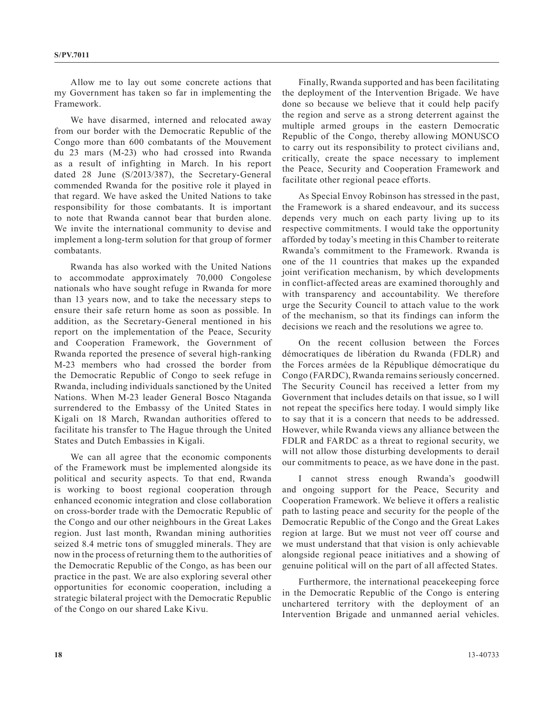Allow me to lay out some concrete actions that my Government has taken so far in implementing the Framework.

We have disarmed, interned and relocated away from our border with the Democratic Republic of the Congo more than 600 combatants of the Mouvement du 23 mars (M-23) who had crossed into Rwanda as a result of infighting in March. In his report dated 28 June (S/2013/387), the Secretary-General commended Rwanda for the positive role it played in that regard. We have asked the United Nations to take responsibility for those combatants. It is important to note that Rwanda cannot bear that burden alone. We invite the international community to devise and implement a long-term solution for that group of former combatants.

Rwanda has also worked with the United Nations to accommodate approximately 70,000 Congolese nationals who have sought refuge in Rwanda for more than 13 years now, and to take the necessary steps to ensure their safe return home as soon as possible. In addition, as the Secretary-General mentioned in his report on the implementation of the Peace, Security and Cooperation Framework, the Government of Rwanda reported the presence of several high-ranking M-23 members who had crossed the border from the Democratic Republic of Congo to seek refuge in Rwanda, including individuals sanctioned by the United Nations. When M-23 leader General Bosco Ntaganda surrendered to the Embassy of the United States in Kigali on 18 March, Rwandan authorities offered to facilitate his transfer to The Hague through the United States and Dutch Embassies in Kigali.

We can all agree that the economic components of the Framework must be implemented alongside its political and security aspects. To that end, Rwanda is working to boost regional cooperation through enhanced economic integration and close collaboration on cross-border trade with the Democratic Republic of the Congo and our other neighbours in the Great Lakes region. Just last month, Rwandan mining authorities seized 8.4 metric tons of smuggled minerals. They are now in the process of returning them to the authorities of the Democratic Republic of the Congo, as has been our practice in the past. We are also exploring several other opportunities for economic cooperation, including a strategic bilateral project with the Democratic Republic of the Congo on our shared Lake Kivu.

Finally, Rwanda supported and has been facilitating the deployment of the Intervention Brigade. We have done so because we believe that it could help pacify the region and serve as a strong deterrent against the multiple armed groups in the eastern Democratic Republic of the Congo, thereby allowing MONUSCO to carry out its responsibility to protect civilians and, critically, create the space necessary to implement the Peace, Security and Cooperation Framework and facilitate other regional peace efforts.

As Special Envoy Robinson has stressed in the past, the Framework is a shared endeavour, and its success depends very much on each party living up to its respective commitments. I would take the opportunity afforded by today's meeting in this Chamber to reiterate Rwanda's commitment to the Framework. Rwanda is one of the 11 countries that makes up the expanded joint verification mechanism, by which developments in conflict-affected areas are examined thoroughly and with transparency and accountability. We therefore urge the Security Council to attach value to the work of the mechanism, so that its findings can inform the decisions we reach and the resolutions we agree to.

On the recent collusion between the Forces démocratiques de libération du Rwanda (FDLR) and the Forces armées de la République démocratique du Congo (FARDC), Rwanda remains seriously concerned. The Security Council has received a letter from my Government that includes details on that issue, so I will not repeat the specifics here today. I would simply like to say that it is a concern that needs to be addressed. However, while Rwanda views any alliance between the FDLR and FARDC as a threat to regional security, we will not allow those disturbing developments to derail our commitments to peace, as we have done in the past.

I cannot stress enough Rwanda's goodwill and ongoing support for the Peace, Security and Cooperation Framework. We believe it offers a realistic path to lasting peace and security for the people of the Democratic Republic of the Congo and the Great Lakes region at large. But we must not veer off course and we must understand that that vision is only achievable alongside regional peace initiatives and a showing of genuine political will on the part of all affected States.

Furthermore, the international peacekeeping force in the Democratic Republic of the Congo is entering unchartered territory with the deployment of an Intervention Brigade and unmanned aerial vehicles.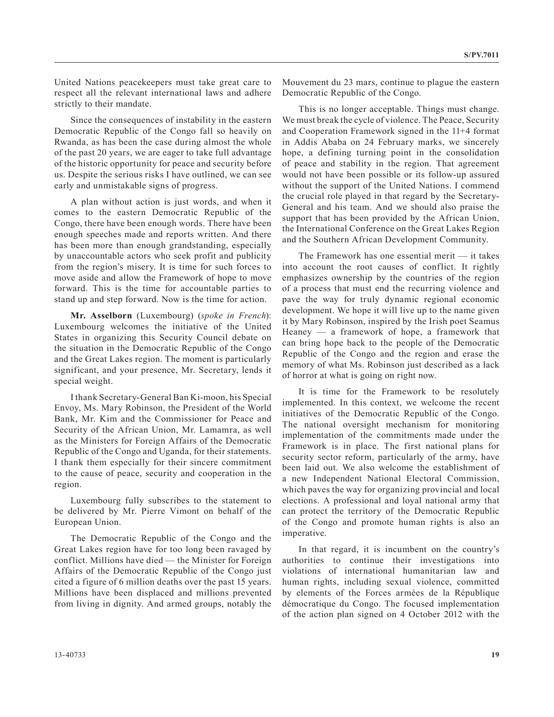United Nations peacekeepers must take great care to respect all the relevant international laws and adhere strictly to their mandate.

Since the consequences of instability in the eastern Democratic Republic of the Congo fall so heavily on Rwanda, as has been the case during almost the whole of the past 20 years, we are eager to take full advantage of the historic opportunity for peace and security before us. Despite the serious risks I have outlined, we can see early and unmistakable signs of progress.

A plan without action is just words, and when it comes to the eastern Democratic Republic of the Congo, there have been enough words. There have been enough speeches made and reports written. And there has been more than enough grandstanding, especially by unaccountable actors who seek profit and publicity from the region's misery. It is time for such forces to move aside and allow the Framework of hope to move forward. This is the time for accountable parties to stand up and step forward. Now is the time for action.

**Mr. Asselborn** (Luxembourg) (*spoke in French*): Luxembourg welcomes the initiative of the United States in organizing this Security Council debate on the situation in the Democratic Republic of the Congo and the Great Lakes region. The moment is particularly significant, and your presence, Mr. Secretary, lends it special weight.

I thank Secretary-General Ban Ki-moon, his Special Envoy, Ms. Mary Robinson, the President of the World Bank, Mr. Kim and the Commissioner for Peace and Security of the African Union, Mr. Lamamra, as well as the Ministers for Foreign Affairs of the Democratic Republic of the Congo and Uganda, for their statements. I thank them especially for their sincere commitment to the cause of peace, security and cooperation in the region.

Luxembourg fully subscribes to the statement to be delivered by Mr. Pierre Vimont on behalf of the European Union.

The Democratic Republic of the Congo and the Great Lakes region have for too long been ravaged by conflict. Millions have died — the Minister for Foreign Affairs of the Democratic Republic of the Congo just cited a figure of 6 million deaths over the past 15 years. Millions have been displaced and millions prevented from living in dignity. And armed groups, notably the Mouvement du 23 mars, continue to plague the eastern Democratic Republic of the Congo.

This is no longer acceptable. Things must change. We must break the cycle of violence. The Peace, Security and Cooperation Framework signed in the 11+4 format in Addis Ababa on 24 February marks, we sincerely hope, a defining turning point in the consolidation of peace and stability in the region. That agreement would not have been possible or its follow-up assured without the support of the United Nations. I commend the crucial role played in that regard by the Secretary-General and his team. And we should also praise the support that has been provided by the African Union, the International Conference on the Great Lakes Region and the Southern African Development Community.

The Framework has one essential merit — it takes into account the root causes of conflict. It rightly emphasizes ownership by the countries of the region of a process that must end the recurring violence and pave the way for truly dynamic regional economic development. We hope it will live up to the name given it by Mary Robinson, inspired by the Irish poet Seamus Heaney — a framework of hope, a framework that can bring hope back to the people of the Democratic Republic of the Congo and the region and erase the memory of what Ms. Robinson just described as a lack of horror at what is going on right now.

It is time for the Framework to be resolutely implemented. In this context, we welcome the recent initiatives of the Democratic Republic of the Congo. The national oversight mechanism for monitoring implementation of the commitments made under the Framework is in place. The first national plans for security sector reform, particularly of the army, have been laid out. We also welcome the establishment of a new Independent National Electoral Commission, which paves the way for organizing provincial and local elections. A professional and loyal national army that can protect the territory of the Democratic Republic of the Congo and promote human rights is also an imperative.

In that regard, it is incumbent on the country's authorities to continue their investigations into violations of international humanitarian law and human rights, including sexual violence, committed by elements of the Forces armées de la République démocratique du Congo. The focused implementation of the action plan signed on 4 October 2012 with the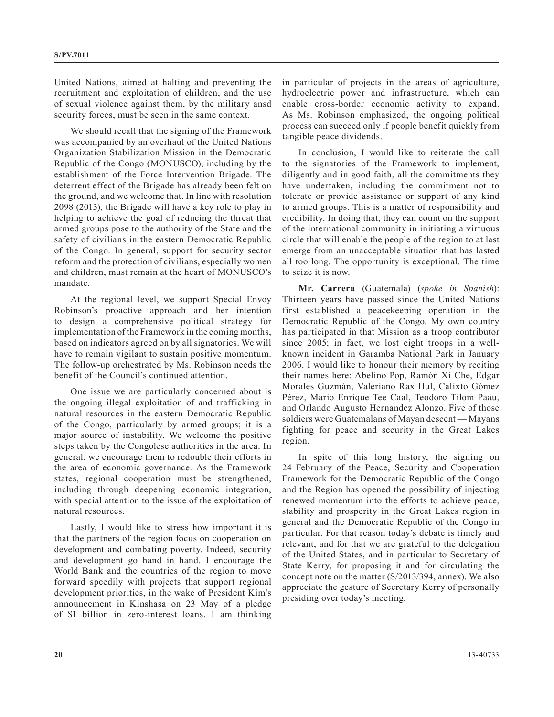United Nations, aimed at halting and preventing the recruitment and exploitation of children, and the use of sexual violence against them, by the military ansd security forces, must be seen in the same context.

We should recall that the signing of the Framework was accompanied by an overhaul of the United Nations Organization Stabilization Mission in the Democratic Republic of the Congo (MONUSCO), including by the establishment of the Force Intervention Brigade. The deterrent effect of the Brigade has already been felt on the ground, and we welcome that. In line with resolution 2098 (2013), the Brigade will have a key role to play in helping to achieve the goal of reducing the threat that armed groups pose to the authority of the State and the safety of civilians in the eastern Democratic Republic of the Congo. In general, support for security sector reform and the protection of civilians, especially women and children, must remain at the heart of MONUSCO's mandate.

At the regional level, we support Special Envoy Robinson's proactive approach and her intention to design a comprehensive political strategy for implementation of the Framework in the coming months, based on indicators agreed on by all signatories. We will have to remain vigilant to sustain positive momentum. The follow-up orchestrated by Ms. Robinson needs the benefit of the Council's continued attention.

One issue we are particularly concerned about is the ongoing illegal exploitation of and trafficking in natural resources in the eastern Democratic Republic of the Congo, particularly by armed groups; it is a major source of instability. We welcome the positive steps taken by the Congolese authorities in the area. In general, we encourage them to redouble their efforts in the area of economic governance. As the Framework states, regional cooperation must be strengthened, including through deepening economic integration, with special attention to the issue of the exploitation of natural resources.

Lastly, I would like to stress how important it is that the partners of the region focus on cooperation on development and combating poverty. Indeed, security and development go hand in hand. I encourage the World Bank and the countries of the region to move forward speedily with projects that support regional development priorities, in the wake of President Kim's announcement in Kinshasa on 23 May of a pledge of \$1 billion in zero-interest loans. I am thinking

in particular of projects in the areas of agriculture, hydroelectric power and infrastructure, which can enable cross-border economic activity to expand. As Ms. Robinson emphasized, the ongoing political process can succeed only if people benefit quickly from tangible peace dividends.

In conclusion, I would like to reiterate the call to the signatories of the Framework to implement, diligently and in good faith, all the commitments they have undertaken, including the commitment not to tolerate or provide assistance or support of any kind to armed groups. This is a matter of responsibility and credibility. In doing that, they can count on the support of the international community in initiating a virtuous circle that will enable the people of the region to at last emerge from an unacceptable situation that has lasted all too long. The opportunity is exceptional. The time to seize it is now.

**Mr. Carrera** (Guatemala) (*spoke in Spanish*): Thirteen years have passed since the United Nations first established a peacekeeping operation in the Democratic Republic of the Congo. My own country has participated in that Mission as a troop contributor since 2005; in fact, we lost eight troops in a wellknown incident in Garamba National Park in January 2006. I would like to honour their memory by reciting their names here: Abelino Pop, Ramón Xi Che, Edgar Morales Guzmán, Valeriano Rax Hul, Calixto Gómez Pérez, Mario Enrique Tee Caal, Teodoro Tilom Paau, and Orlando Augusto Hernandez Alonzo. Five of those soldiers were Guatemalans of Mayan descent — Mayans fighting for peace and security in the Great Lakes region.

In spite of this long history, the signing on 24 February of the Peace, Security and Cooperation Framework for the Democratic Republic of the Congo and the Region has opened the possibility of injecting renewed momentum into the efforts to achieve peace, stability and prosperity in the Great Lakes region in general and the Democratic Republic of the Congo in particular. For that reason today's debate is timely and relevant, and for that we are grateful to the delegation of the United States, and in particular to Secretary of State Kerry, for proposing it and for circulating the concept note on the matter (S/2013/394, annex). We also appreciate the gesture of Secretary Kerry of personally presiding over today's meeting.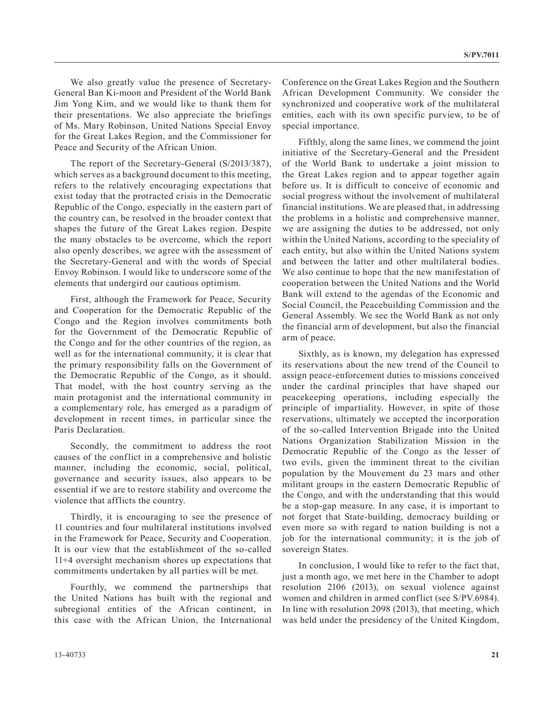We also greatly value the presence of Secretary-General Ban Ki-moon and President of the World Bank Jim Yong Kim, and we would like to thank them for their presentations. We also appreciate the briefings of Ms. Mary Robinson, United Nations Special Envoy for the Great Lakes Region, and the Commissioner for Peace and Security of the African Union.

The report of the Secretary-General (S/2013/387), which serves as a background document to this meeting, refers to the relatively encouraging expectations that exist today that the protracted crisis in the Democratic Republic of the Congo, especially in the eastern part of the country can, be resolved in the broader context that shapes the future of the Great Lakes region. Despite the many obstacles to be overcome, which the report also openly describes, we agree with the assessment of the Secretary-General and with the words of Special Envoy Robinson. I would like to underscore some of the elements that undergird our cautious optimism.

First, although the Framework for Peace, Security and Cooperation for the Democratic Republic of the Congo and the Region involves commitments both for the Government of the Democratic Republic of the Congo and for the other countries of the region, as well as for the international community, it is clear that the primary responsibility falls on the Government of the Democratic Republic of the Congo, as it should. That model, with the host country serving as the main protagonist and the international community in a complementary role, has emerged as a paradigm of development in recent times, in particular since the Paris Declaration.

Secondly, the commitment to address the root causes of the conflict in a comprehensive and holistic manner, including the economic, social, political, governance and security issues, also appears to be essential if we are to restore stability and overcome the violence that afflicts the country.

Thirdly, it is encouraging to see the presence of 11 countries and four multilateral institutions involved in the Framework for Peace, Security and Cooperation. It is our view that the establishment of the so-called 11+4 oversight mechanism shores up expectations that commitments undertaken by all parties will be met.

Fourthly, we commend the partnerships that the United Nations has built with the regional and subregional entities of the African continent, in this case with the African Union, the International

Conference on the Great Lakes Region and the Southern African Development Community. We consider the synchronized and cooperative work of the multilateral entities, each with its own specific purview, to be of special importance.

Fifthly, along the same lines, we commend the joint initiative of the Secretary-General and the President of the World Bank to undertake a joint mission to the Great Lakes region and to appear together again before us. It is difficult to conceive of economic and social progress without the involvement of multilateral financial institutions. We are pleased that, in addressing the problems in a holistic and comprehensive manner, we are assigning the duties to be addressed, not only within the United Nations, according to the speciality of each entity, but also within the United Nations system and between the latter and other multilateral bodies. We also continue to hope that the new manifestation of cooperation between the United Nations and the World Bank will extend to the agendas of the Economic and Social Council, the Peacebuilding Commission and the General Assembly. We see the World Bank as not only the financial arm of development, but also the financial arm of peace.

Sixthly, as is known, my delegation has expressed its reservations about the new trend of the Council to assign peace-enforcement duties to missions conceived under the cardinal principles that have shaped our peacekeeping operations, including especially the principle of impartiality. However, in spite of those reservations, ultimately we accepted the incorporation of the so-called Intervention Brigade into the United Nations Organization Stabilization Mission in the Democratic Republic of the Congo as the lesser of two evils, given the imminent threat to the civilian population by the Mouvement du 23 mars and other militant groups in the eastern Democratic Republic of the Congo, and with the understanding that this would be a stop-gap measure. In any case, it is important to not forget that State-building, democracy building or even more so with regard to nation building is not a job for the international community; it is the job of sovereign States.

In conclusion, I would like to refer to the fact that, just a month ago, we met here in the Chamber to adopt resolution 2106 (2013), on sexual violence against women and children in armed conflict (see S/PV.6984). In line with resolution 2098 (2013), that meeting, which was held under the presidency of the United Kingdom,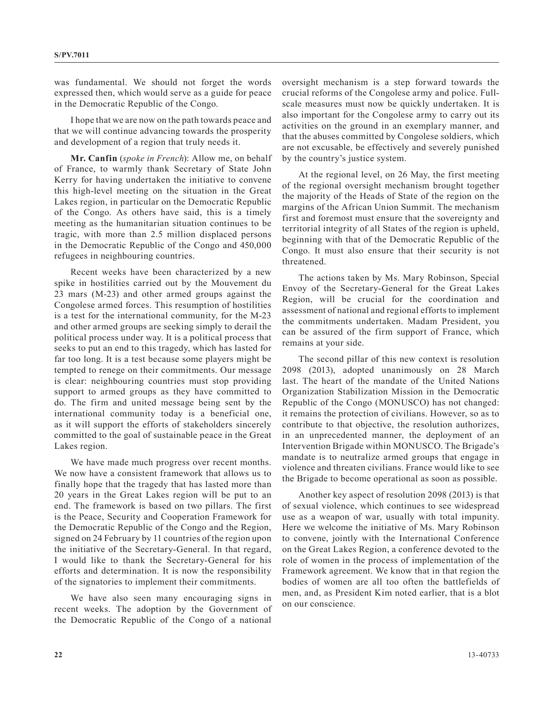was fundamental. We should not forget the words expressed then, which would serve as a guide for peace in the Democratic Republic of the Congo.

I hope that we are now on the path towards peace and that we will continue advancing towards the prosperity and development of a region that truly needs it.

**Mr. Canfin** (*spoke in French*): Allow me, on behalf of France, to warmly thank Secretary of State John Kerry for having undertaken the initiative to convene this high-level meeting on the situation in the Great Lakes region, in particular on the Democratic Republic of the Congo. As others have said, this is a timely meeting as the humanitarian situation continues to be tragic, with more than 2.5 million displaced persons in the Democratic Republic of the Congo and 450,000 refugees in neighbouring countries.

Recent weeks have been characterized by a new spike in hostilities carried out by the Mouvement du 23 mars (M-23) and other armed groups against the Congolese armed forces. This resumption of hostilities is a test for the international community, for the M-23 and other armed groups are seeking simply to derail the political process under way. It is a political process that seeks to put an end to this tragedy, which has lasted for far too long. It is a test because some players might be tempted to renege on their commitments. Our message is clear: neighbouring countries must stop providing support to armed groups as they have committed to do. The firm and united message being sent by the international community today is a beneficial one, as it will support the efforts of stakeholders sincerely committed to the goal of sustainable peace in the Great Lakes region.

We have made much progress over recent months. We now have a consistent framework that allows us to finally hope that the tragedy that has lasted more than 20 years in the Great Lakes region will be put to an end. The framework is based on two pillars. The first is the Peace, Security and Cooperation Framework for the Democratic Republic of the Congo and the Region, signed on 24 February by 11 countries of the region upon the initiative of the Secretary-General. In that regard, I would like to thank the Secretary-General for his efforts and determination. It is now the responsibility of the signatories to implement their commitments.

We have also seen many encouraging signs in recent weeks. The adoption by the Government of the Democratic Republic of the Congo of a national

oversight mechanism is a step forward towards the crucial reforms of the Congolese army and police. Fullscale measures must now be quickly undertaken. It is also important for the Congolese army to carry out its activities on the ground in an exemplary manner, and that the abuses committed by Congolese soldiers, which are not excusable, be effectively and severely punished by the country's justice system.

At the regional level, on 26 May, the first meeting of the regional oversight mechanism brought together the majority of the Heads of State of the region on the margins of the African Union Summit. The mechanism first and foremost must ensure that the sovereignty and territorial integrity of all States of the region is upheld, beginning with that of the Democratic Republic of the Congo. It must also ensure that their security is not threatened.

The actions taken by Ms. Mary Robinson, Special Envoy of the Secretary-General for the Great Lakes Region, will be crucial for the coordination and assessment of national and regional efforts to implement the commitments undertaken. Madam President, you can be assured of the firm support of France, which remains at your side.

The second pillar of this new context is resolution 2098 (2013), adopted unanimously on 28 March last. The heart of the mandate of the United Nations Organization Stabilization Mission in the Democratic Republic of the Congo (MONUSCO) has not changed: it remains the protection of civilians. However, so as to contribute to that objective, the resolution authorizes, in an unprecedented manner, the deployment of an Intervention Brigade within MONUSCO. The Brigade's mandate is to neutralize armed groups that engage in violence and threaten civilians. France would like to see the Brigade to become operational as soon as possible.

Another key aspect of resolution 2098 (2013) is that of sexual violence, which continues to see widespread use as a weapon of war, usually with total impunity. Here we welcome the initiative of Ms. Mary Robinson to convene, jointly with the International Conference on the Great Lakes Region, a conference devoted to the role of women in the process of implementation of the Framework agreement. We know that in that region the bodies of women are all too often the battlefields of men, and, as President Kim noted earlier, that is a blot on our conscience.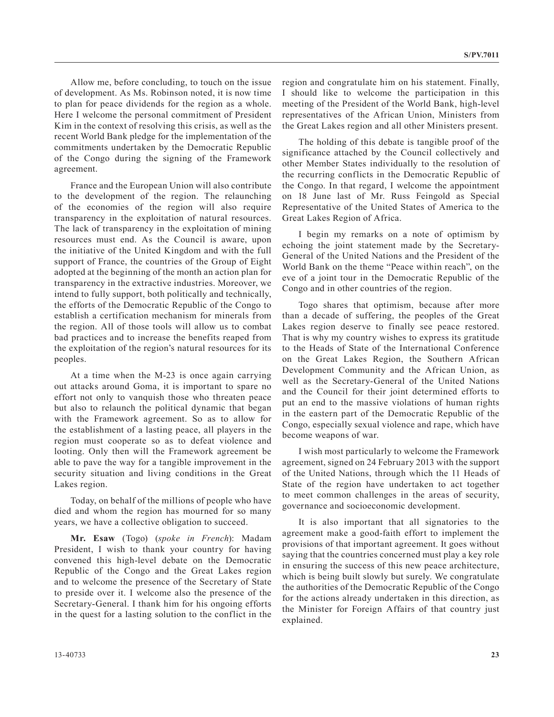Allow me, before concluding, to touch on the issue of development. As Ms. Robinson noted, it is now time to plan for peace dividends for the region as a whole. Here I welcome the personal commitment of President Kim in the context of resolving this crisis, as well as the recent World Bank pledge for the implementation of the commitments undertaken by the Democratic Republic of the Congo during the signing of the Framework agreement.

France and the European Union will also contribute to the development of the region. The relaunching of the economies of the region will also require transparency in the exploitation of natural resources. The lack of transparency in the exploitation of mining resources must end. As the Council is aware, upon the initiative of the United Kingdom and with the full support of France, the countries of the Group of Eight adopted at the beginning of the month an action plan for transparency in the extractive industries. Moreover, we intend to fully support, both politically and technically, the efforts of the Democratic Republic of the Congo to establish a certification mechanism for minerals from the region. All of those tools will allow us to combat bad practices and to increase the benefits reaped from the exploitation of the region's natural resources for its peoples.

At a time when the M-23 is once again carrying out attacks around Goma, it is important to spare no effort not only to vanquish those who threaten peace but also to relaunch the political dynamic that began with the Framework agreement. So as to allow for the establishment of a lasting peace, all players in the region must cooperate so as to defeat violence and looting. Only then will the Framework agreement be able to pave the way for a tangible improvement in the security situation and living conditions in the Great Lakes region.

Today, on behalf of the millions of people who have died and whom the region has mourned for so many years, we have a collective obligation to succeed.

**Mr. Esaw** (Togo) (*spoke in French*): Madam President, I wish to thank your country for having convened this high-level debate on the Democratic Republic of the Congo and the Great Lakes region and to welcome the presence of the Secretary of State to preside over it. I welcome also the presence of the Secretary-General. I thank him for his ongoing efforts in the quest for a lasting solution to the conflict in the region and congratulate him on his statement. Finally, I should like to welcome the participation in this meeting of the President of the World Bank, high-level representatives of the African Union, Ministers from the Great Lakes region and all other Ministers present.

The holding of this debate is tangible proof of the significance attached by the Council collectively and other Member States individually to the resolution of the recurring conflicts in the Democratic Republic of the Congo. In that regard, I welcome the appointment on 18 June last of Mr. Russ Feingold as Special Representative of the United States of America to the Great Lakes Region of Africa.

I begin my remarks on a note of optimism by echoing the joint statement made by the Secretary-General of the United Nations and the President of the World Bank on the theme "Peace within reach", on the eve of a joint tour in the Democratic Republic of the Congo and in other countries of the region.

Togo shares that optimism, because after more than a decade of suffering, the peoples of the Great Lakes region deserve to finally see peace restored. That is why my country wishes to express its gratitude to the Heads of State of the International Conference on the Great Lakes Region, the Southern African Development Community and the African Union, as well as the Secretary-General of the United Nations and the Council for their joint determined efforts to put an end to the massive violations of human rights in the eastern part of the Democratic Republic of the Congo, especially sexual violence and rape, which have become weapons of war.

I wish most particularly to welcome the Framework agreement, signed on 24 February 2013 with the support of the United Nations, through which the 11 Heads of State of the region have undertaken to act together to meet common challenges in the areas of security, governance and socioeconomic development.

It is also important that all signatories to the agreement make a good-faith effort to implement the provisions of that important agreement. It goes without saying that the countries concerned must play a key role in ensuring the success of this new peace architecture, which is being built slowly but surely. We congratulate the authorities of the Democratic Republic of the Congo for the actions already undertaken in this direction, as the Minister for Foreign Affairs of that country just explained.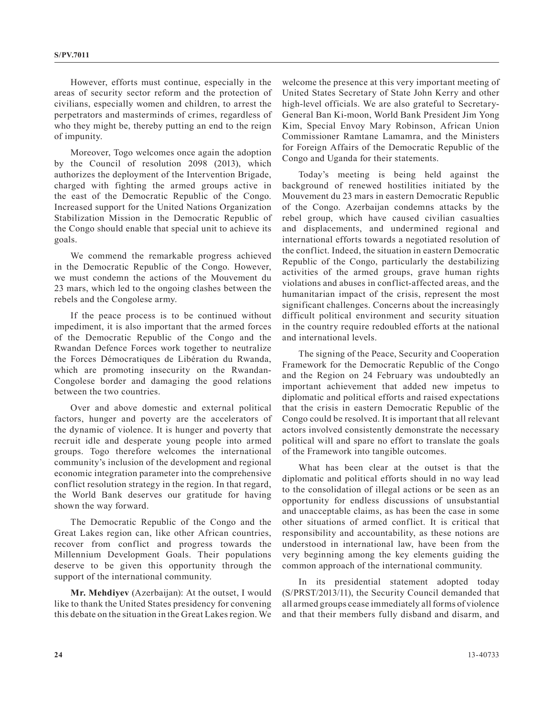However, efforts must continue, especially in the areas of security sector reform and the protection of civilians, especially women and children, to arrest the perpetrators and masterminds of crimes, regardless of who they might be, thereby putting an end to the reign of impunity.

Moreover, Togo welcomes once again the adoption by the Council of resolution 2098 (2013), which authorizes the deployment of the Intervention Brigade, charged with fighting the armed groups active in the east of the Democratic Republic of the Congo. Increased support for the United Nations Organization Stabilization Mission in the Democratic Republic of the Congo should enable that special unit to achieve its goals.

We commend the remarkable progress achieved in the Democratic Republic of the Congo. However, we must condemn the actions of the Mouvement du 23 mars, which led to the ongoing clashes between the rebels and the Congolese army.

If the peace process is to be continued without impediment, it is also important that the armed forces of the Democratic Republic of the Congo and the Rwandan Defence Forces work together to neutralize the Forces Démocratiques de Libération du Rwanda, which are promoting insecurity on the Rwandan-Congolese border and damaging the good relations between the two countries.

Over and above domestic and external political factors, hunger and poverty are the accelerators of the dynamic of violence. It is hunger and poverty that recruit idle and desperate young people into armed groups. Togo therefore welcomes the international community's inclusion of the development and regional economic integration parameter into the comprehensive conflict resolution strategy in the region. In that regard, the World Bank deserves our gratitude for having shown the way forward.

The Democratic Republic of the Congo and the Great Lakes region can, like other African countries, recover from conflict and progress towards the Millennium Development Goals. Their populations deserve to be given this opportunity through the support of the international community.

**Mr. Mehdiyev** (Azerbaijan): At the outset, I would like to thank the United States presidency for convening this debate on the situation in the Great Lakes region. We

welcome the presence at this very important meeting of United States Secretary of State John Kerry and other high-level officials. We are also grateful to Secretary-General Ban Ki-moon, World Bank President Jim Yong Kim, Special Envoy Mary Robinson, African Union Commissioner Ramtane Lamamra, and the Ministers for Foreign Affairs of the Democratic Republic of the Congo and Uganda for their statements.

Today's meeting is being held against the background of renewed hostilities initiated by the Mouvement du 23 mars in eastern Democratic Republic of the Congo. Azerbaijan condemns attacks by the rebel group, which have caused civilian casualties and displacements, and undermined regional and international efforts towards a negotiated resolution of the conflict. Indeed, the situation in eastern Democratic Republic of the Congo, particularly the destabilizing activities of the armed groups, grave human rights violations and abuses in conflict-affected areas, and the humanitarian impact of the crisis, represent the most significant challenges. Concerns about the increasingly difficult political environment and security situation in the country require redoubled efforts at the national and international levels.

The signing of the Peace, Security and Cooperation Framework for the Democratic Republic of the Congo and the Region on 24 February was undoubtedly an important achievement that added new impetus to diplomatic and political efforts and raised expectations that the crisis in eastern Democratic Republic of the Congo could be resolved. It is important that all relevant actors involved consistently demonstrate the necessary political will and spare no effort to translate the goals of the Framework into tangible outcomes.

What has been clear at the outset is that the diplomatic and political efforts should in no way lead to the consolidation of illegal actions or be seen as an opportunity for endless discussions of unsubstantial and unacceptable claims, as has been the case in some other situations of armed conflict. It is critical that responsibility and accountability, as these notions are understood in international law, have been from the very beginning among the key elements guiding the common approach of the international community.

In its presidential statement adopted today (S/PRST/2013/11), the Security Council demanded that all armed groups cease immediately all forms of violence and that their members fully disband and disarm, and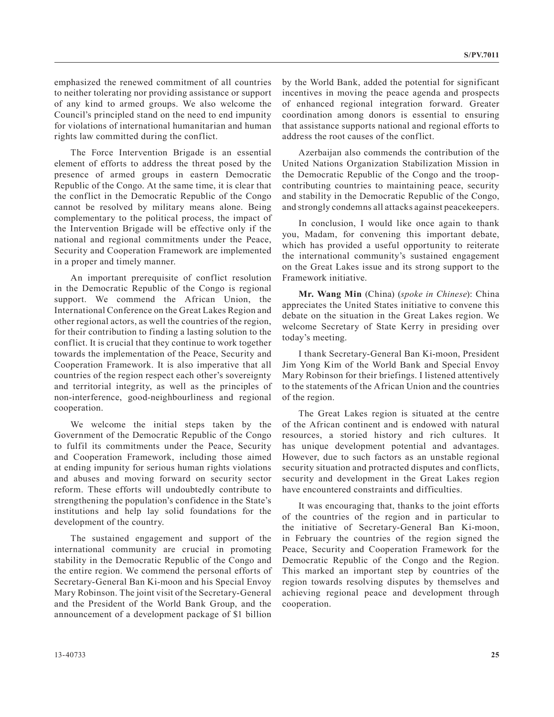emphasized the renewed commitment of all countries to neither tolerating nor providing assistance or support of any kind to armed groups. We also welcome the Council's principled stand on the need to end impunity for violations of international humanitarian and human rights law committed during the conflict.

The Force Intervention Brigade is an essential element of efforts to address the threat posed by the presence of armed groups in eastern Democratic Republic of the Congo. At the same time, it is clear that the conflict in the Democratic Republic of the Congo cannot be resolved by military means alone. Being complementary to the political process, the impact of the Intervention Brigade will be effective only if the national and regional commitments under the Peace, Security and Cooperation Framework are implemented in a proper and timely manner.

An important prerequisite of conflict resolution in the Democratic Republic of the Congo is regional support. We commend the African Union, the International Conference on the Great Lakes Region and other regional actors, as well the countries of the region, for their contribution to finding a lasting solution to the conflict. It is crucial that they continue to work together towards the implementation of the Peace, Security and Cooperation Framework. It is also imperative that all countries of the region respect each other's sovereignty and territorial integrity, as well as the principles of non-interference, good-neighbourliness and regional cooperation.

We welcome the initial steps taken by the Government of the Democratic Republic of the Congo to fulfil its commitments under the Peace, Security and Cooperation Framework, including those aimed at ending impunity for serious human rights violations and abuses and moving forward on security sector reform. These efforts will undoubtedly contribute to strengthening the population's confidence in the State's institutions and help lay solid foundations for the development of the country.

The sustained engagement and support of the international community are crucial in promoting stability in the Democratic Republic of the Congo and the entire region. We commend the personal efforts of Secretary-General Ban Ki-moon and his Special Envoy Mary Robinson. The joint visit of the Secretary-General and the President of the World Bank Group, and the announcement of a development package of \$1 billion

by the World Bank, added the potential for significant incentives in moving the peace agenda and prospects of enhanced regional integration forward. Greater coordination among donors is essential to ensuring that assistance supports national and regional efforts to address the root causes of the conflict.

Azerbaijan also commends the contribution of the United Nations Organization Stabilization Mission in the Democratic Republic of the Congo and the troopcontributing countries to maintaining peace, security and stability in the Democratic Republic of the Congo, and strongly condemns all attacks against peacekeepers.

In conclusion, I would like once again to thank you, Madam, for convening this important debate, which has provided a useful opportunity to reiterate the international community's sustained engagement on the Great Lakes issue and its strong support to the Framework initiative.

**Mr. Wang Min** (China) (*spoke in Chinese*): China appreciates the United States initiative to convene this debate on the situation in the Great Lakes region. We welcome Secretary of State Kerry in presiding over today's meeting.

I thank Secretary-General Ban Ki-moon, President Jim Yong Kim of the World Bank and Special Envoy Mary Robinson for their briefings. I listened attentively to the statements of the African Union and the countries of the region.

The Great Lakes region is situated at the centre of the African continent and is endowed with natural resources, a storied history and rich cultures. It has unique development potential and advantages. However, due to such factors as an unstable regional security situation and protracted disputes and conflicts, security and development in the Great Lakes region have encountered constraints and difficulties.

It was encouraging that, thanks to the joint efforts of the countries of the region and in particular to the initiative of Secretary-General Ban Ki-moon, in February the countries of the region signed the Peace, Security and Cooperation Framework for the Democratic Republic of the Congo and the Region. This marked an important step by countries of the region towards resolving disputes by themselves and achieving regional peace and development through cooperation.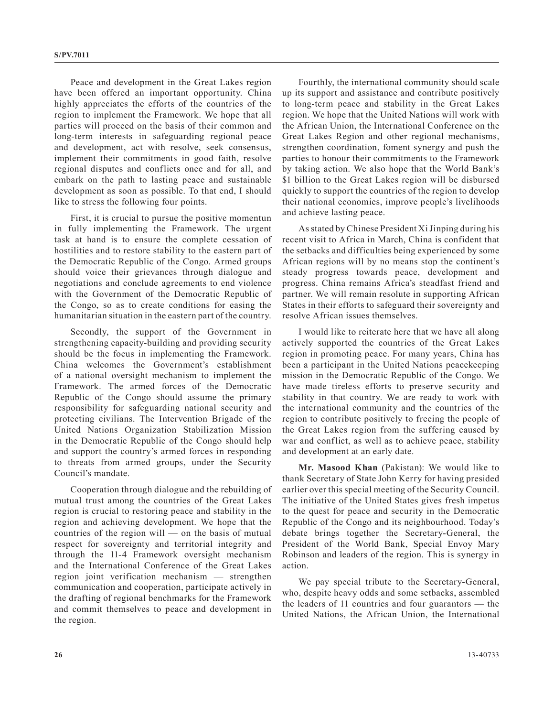Peace and development in the Great Lakes region have been offered an important opportunity. China highly appreciates the efforts of the countries of the region to implement the Framework. We hope that all parties will proceed on the basis of their common and long-term interests in safeguarding regional peace and development, act with resolve, seek consensus, implement their commitments in good faith, resolve regional disputes and conflicts once and for all, and embark on the path to lasting peace and sustainable development as soon as possible. To that end, I should like to stress the following four points.

First, it is crucial to pursue the positive momentun in fully implementing the Framework. The urgent task at hand is to ensure the complete cessation of hostilities and to restore stability to the eastern part of the Democratic Republic of the Congo. Armed groups should voice their grievances through dialogue and negotiations and conclude agreements to end violence with the Government of the Democratic Republic of the Congo, so as to create conditions for easing the humanitarian situation in the eastern part of the country.

Secondly, the support of the Government in strengthening capacity-building and providing security should be the focus in implementing the Framework. China welcomes the Government's establishment of a national oversight mechanism to implement the Framework. The armed forces of the Democratic Republic of the Congo should assume the primary responsibility for safeguarding national security and protecting civilians. The Intervention Brigade of the United Nations Organization Stabilization Mission in the Democratic Republic of the Congo should help and support the country's armed forces in responding to threats from armed groups, under the Security Council's mandate.

Cooperation through dialogue and the rebuilding of mutual trust among the countries of the Great Lakes region is crucial to restoring peace and stability in the region and achieving development. We hope that the countries of the region will — on the basis of mutual respect for sovereignty and territorial integrity and through the 11-4 Framework oversight mechanism and the International Conference of the Great Lakes region joint verification mechanism — strengthen communication and cooperation, participate actively in the drafting of regional benchmarks for the Framework and commit themselves to peace and development in the region.

Fourthly, the international community should scale up its support and assistance and contribute positively to long-term peace and stability in the Great Lakes region. We hope that the United Nations will work with the African Union, the International Conference on the Great Lakes Region and other regional mechanisms, strengthen coordination, foment synergy and push the parties to honour their commitments to the Framework by taking action. We also hope that the World Bank's \$1 billion to the Great Lakes region will be disbursed quickly to support the countries of the region to develop their national economies, improve people's livelihoods and achieve lasting peace.

As stated by Chinese President Xi Jinping during his recent visit to Africa in March, China is confident that the setbacks and difficulties being experienced by some African regions will by no means stop the continent's steady progress towards peace, development and progress. China remains Africa's steadfast friend and partner. We will remain resolute in supporting African States in their efforts to safeguard their sovereignty and resolve African issues themselves.

I would like to reiterate here that we have all along actively supported the countries of the Great Lakes region in promoting peace. For many years, China has been a participant in the United Nations peacekeeping mission in the Democratic Republic of the Congo. We have made tireless efforts to preserve security and stability in that country. We are ready to work with the international community and the countries of the region to contribute positively to freeing the people of the Great Lakes region from the suffering caused by war and conflict, as well as to achieve peace, stability and development at an early date.

**Mr. Masood Khan** (Pakistan): We would like to thank Secretary of State John Kerry for having presided earlier over this special meeting of the Security Council. The initiative of the United States gives fresh impetus to the quest for peace and security in the Democratic Republic of the Congo and its neighbourhood. Today's debate brings together the Secretary-General, the President of the World Bank, Special Envoy Mary Robinson and leaders of the region. This is synergy in action.

We pay special tribute to the Secretary-General, who, despite heavy odds and some setbacks, assembled the leaders of 11 countries and four guarantors — the United Nations, the African Union, the International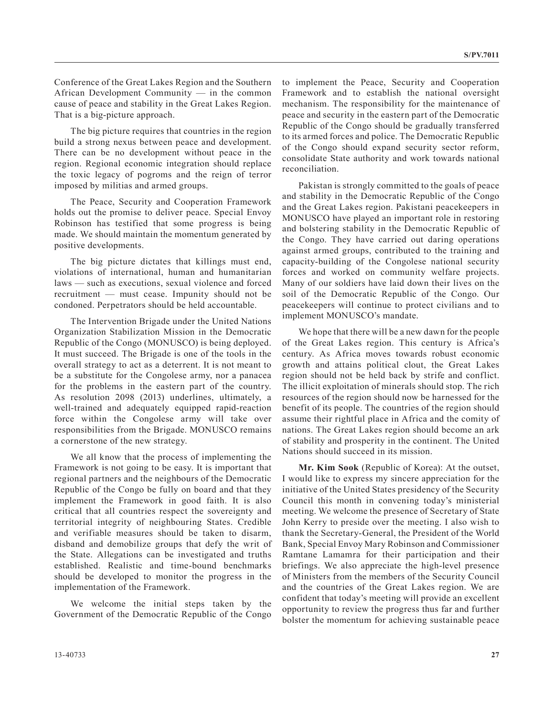Conference of the Great Lakes Region and the Southern African Development Community — in the common cause of peace and stability in the Great Lakes Region. That is a big-picture approach.

The big picture requires that countries in the region build a strong nexus between peace and development. There can be no development without peace in the region. Regional economic integration should replace the toxic legacy of pogroms and the reign of terror imposed by militias and armed groups.

The Peace, Security and Cooperation Framework holds out the promise to deliver peace. Special Envoy Robinson has testified that some progress is being made. We should maintain the momentum generated by positive developments.

The big picture dictates that killings must end, violations of international, human and humanitarian laws — such as executions, sexual violence and forced recruitment — must cease. Impunity should not be condoned. Perpetrators should be held accountable.

The Intervention Brigade under the United Nations Organization Stabilization Mission in the Democratic Republic of the Congo (MONUSCO) is being deployed. It must succeed. The Brigade is one of the tools in the overall strategy to act as a deterrent. It is not meant to be a substitute for the Congolese army, nor a panacea for the problems in the eastern part of the country. As resolution 2098 (2013) underlines, ultimately, a well-trained and adequately equipped rapid-reaction force within the Congolese army will take over responsibilities from the Brigade. MONUSCO remains a cornerstone of the new strategy.

We all know that the process of implementing the Framework is not going to be easy. It is important that regional partners and the neighbours of the Democratic Republic of the Congo be fully on board and that they implement the Framework in good faith. It is also critical that all countries respect the sovereignty and territorial integrity of neighbouring States. Credible and verifiable measures should be taken to disarm, disband and demobilize groups that defy the writ of the State. Allegations can be investigated and truths established. Realistic and time-bound benchmarks should be developed to monitor the progress in the implementation of the Framework.

We welcome the initial steps taken by the Government of the Democratic Republic of the Congo to implement the Peace, Security and Cooperation Framework and to establish the national oversight mechanism. The responsibility for the maintenance of peace and security in the eastern part of the Democratic Republic of the Congo should be gradually transferred to its armed forces and police. The Democratic Republic of the Congo should expand security sector reform, consolidate State authority and work towards national reconciliation.

Pakistan is strongly committed to the goals of peace and stability in the Democratic Republic of the Congo and the Great Lakes region. Pakistani peacekeepers in MONUSCO have played an important role in restoring and bolstering stability in the Democratic Republic of the Congo. They have carried out daring operations against armed groups, contributed to the training and capacity-building of the Congolese national security forces and worked on community welfare projects. Many of our soldiers have laid down their lives on the soil of the Democratic Republic of the Congo. Our peacekeepers will continue to protect civilians and to implement MONUSCO's mandate.

We hope that there will be a new dawn for the people of the Great Lakes region. This century is Africa's century. As Africa moves towards robust economic growth and attains political clout, the Great Lakes region should not be held back by strife and conflict. The illicit exploitation of minerals should stop. The rich resources of the region should now be harnessed for the benefit of its people. The countries of the region should assume their rightful place in Africa and the comity of nations. The Great Lakes region should become an ark of stability and prosperity in the continent. The United Nations should succeed in its mission.

**Mr. Kim Sook** (Republic of Korea): At the outset, I would like to express my sincere appreciation for the initiative of the United States presidency of the Security Council this month in convening today's ministerial meeting. We welcome the presence of Secretary of State John Kerry to preside over the meeting. I also wish to thank the Secretary-General, the President of the World Bank, Special Envoy Mary Robinson and Commissioner Ramtane Lamamra for their participation and their briefings. We also appreciate the high-level presence of Ministers from the members of the Security Council and the countries of the Great Lakes region. We are confident that today's meeting will provide an excellent opportunity to review the progress thus far and further bolster the momentum for achieving sustainable peace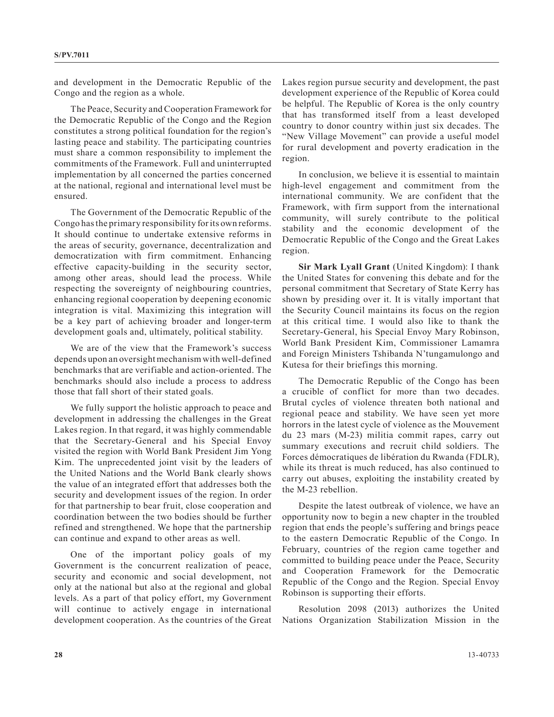and development in the Democratic Republic of the Congo and the region as a whole.

The Peace, Security and Cooperation Framework for the Democratic Republic of the Congo and the Region constitutes a strong political foundation for the region's lasting peace and stability. The participating countries must share a common responsibility to implement the commitments of the Framework. Full and uninterrupted implementation by all concerned the parties concerned at the national, regional and international level must be ensured.

The Government of the Democratic Republic of the Congo has the primary responsibility for its own reforms. It should continue to undertake extensive reforms in the areas of security, governance, decentralization and democratization with firm commitment. Enhancing effective capacity-building in the security sector, among other areas, should lead the process. While respecting the sovereignty of neighbouring countries, enhancing regional cooperation by deepening economic integration is vital. Maximizing this integration will be a key part of achieving broader and longer-term development goals and, ultimately, political stability.

We are of the view that the Framework's success depends upon an oversight mechanism with well-defined benchmarks that are verifiable and action-oriented. The benchmarks should also include a process to address those that fall short of their stated goals.

We fully support the holistic approach to peace and development in addressing the challenges in the Great Lakes region. In that regard, it was highly commendable that the Secretary-General and his Special Envoy visited the region with World Bank President Jim Yong Kim. The unprecedented joint visit by the leaders of the United Nations and the World Bank clearly shows the value of an integrated effort that addresses both the security and development issues of the region. In order for that partnership to bear fruit, close cooperation and coordination between the two bodies should be further refined and strengthened. We hope that the partnership can continue and expand to other areas as well.

One of the important policy goals of my Government is the concurrent realization of peace, security and economic and social development, not only at the national but also at the regional and global levels. As a part of that policy effort, my Government will continue to actively engage in international development cooperation. As the countries of the Great Lakes region pursue security and development, the past development experience of the Republic of Korea could be helpful. The Republic of Korea is the only country that has transformed itself from a least developed country to donor country within just six decades. The "New Village Movement" can provide a useful model for rural development and poverty eradication in the region.

In conclusion, we believe it is essential to maintain high-level engagement and commitment from the international community. We are confident that the Framework, with firm support from the international community, will surely contribute to the political stability and the economic development of the Democratic Republic of the Congo and the Great Lakes region.

**Sir Mark Lyall Grant** (United Kingdom): I thank the United States for convening this debate and for the personal commitment that Secretary of State Kerry has shown by presiding over it. It is vitally important that the Security Council maintains its focus on the region at this critical time. I would also like to thank the Secretary-General, his Special Envoy Mary Robinson, World Bank President Kim, Commissioner Lamamra and Foreign Ministers Tshibanda N'tungamulongo and Kutesa for their briefings this morning.

The Democratic Republic of the Congo has been a crucible of conflict for more than two decades. Brutal cycles of violence threaten both national and regional peace and stability. We have seen yet more horrors in the latest cycle of violence as the Mouvement du 23 mars (M-23) militia commit rapes, carry out summary executions and recruit child soldiers. The Forces démocratiques de libération du Rwanda (FDLR), while its threat is much reduced, has also continued to carry out abuses, exploiting the instability created by the M-23 rebellion.

Despite the latest outbreak of violence, we have an opportunity now to begin a new chapter in the troubled region that ends the people's suffering and brings peace to the eastern Democratic Republic of the Congo. In February, countries of the region came together and committed to building peace under the Peace, Security and Cooperation Framework for the Democratic Republic of the Congo and the Region. Special Envoy Robinson is supporting their efforts.

Resolution 2098 (2013) authorizes the United Nations Organization Stabilization Mission in the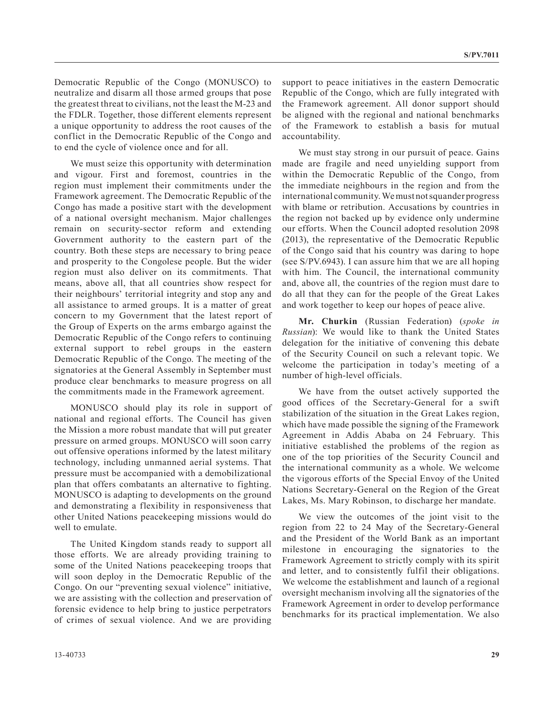Democratic Republic of the Congo (MONUSCO) to neutralize and disarm all those armed groups that pose the greatest threat to civilians, not the least the M-23 and the FDLR. Together, those different elements represent a unique opportunity to address the root causes of the conflict in the Democratic Republic of the Congo and to end the cycle of violence once and for all.

We must seize this opportunity with determination and vigour. First and foremost, countries in the region must implement their commitments under the Framework agreement. The Democratic Republic of the Congo has made a positive start with the development of a national oversight mechanism. Major challenges remain on security-sector reform and extending Government authority to the eastern part of the country. Both these steps are necessary to bring peace and prosperity to the Congolese people. But the wider region must also deliver on its commitments. That means, above all, that all countries show respect for their neighbours' territorial integrity and stop any and all assistance to armed groups. It is a matter of great concern to my Government that the latest report of the Group of Experts on the arms embargo against the Democratic Republic of the Congo refers to continuing external support to rebel groups in the eastern Democratic Republic of the Congo. The meeting of the signatories at the General Assembly in September must produce clear benchmarks to measure progress on all the commitments made in the Framework agreement.

MONUSCO should play its role in support of national and regional efforts. The Council has given the Mission a more robust mandate that will put greater pressure on armed groups. MONUSCO will soon carry out offensive operations informed by the latest military technology, including unmanned aerial systems. That pressure must be accompanied with a demobilizational plan that offers combatants an alternative to fighting. MONUSCO is adapting to developments on the ground and demonstrating a flexibility in responsiveness that other United Nations peacekeeping missions would do well to emulate.

The United Kingdom stands ready to support all those efforts. We are already providing training to some of the United Nations peacekeeping troops that will soon deploy in the Democratic Republic of the Congo. On our "preventing sexual violence" initiative, we are assisting with the collection and preservation of forensic evidence to help bring to justice perpetrators of crimes of sexual violence. And we are providing

support to peace initiatives in the eastern Democratic Republic of the Congo, which are fully integrated with the Framework agreement. All donor support should be aligned with the regional and national benchmarks of the Framework to establish a basis for mutual accountability.

We must stay strong in our pursuit of peace. Gains made are fragile and need unyielding support from within the Democratic Republic of the Congo, from the immediate neighbours in the region and from the international community. We must not squander progress with blame or retribution. Accusations by countries in the region not backed up by evidence only undermine our efforts. When the Council adopted resolution 2098 (2013), the representative of the Democratic Republic of the Congo said that his country was daring to hope (see S/PV.6943). I can assure him that we are all hoping with him. The Council, the international community and, above all, the countries of the region must dare to do all that they can for the people of the Great Lakes and work together to keep our hopes of peace alive.

**Mr. Churkin** (Russian Federation) (*spoke in Russian*): We would like to thank the United States delegation for the initiative of convening this debate of the Security Council on such a relevant topic. We welcome the participation in today's meeting of a number of high-level officials.

We have from the outset actively supported the good offices of the Secretary-General for a swift stabilization of the situation in the Great Lakes region, which have made possible the signing of the Framework Agreement in Addis Ababa on 24 February. This initiative established the problems of the region as one of the top priorities of the Security Council and the international community as a whole. We welcome the vigorous efforts of the Special Envoy of the United Nations Secretary-General on the Region of the Great Lakes, Ms. Mary Robinson, to discharge her mandate.

We view the outcomes of the joint visit to the region from 22 to 24 May of the Secretary-General and the President of the World Bank as an important milestone in encouraging the signatories to the Framework Agreement to strictly comply with its spirit and letter, and to consistently fulfil their obligations. We welcome the establishment and launch of a regional oversight mechanism involving all the signatories of the Framework Agreement in order to develop performance benchmarks for its practical implementation. We also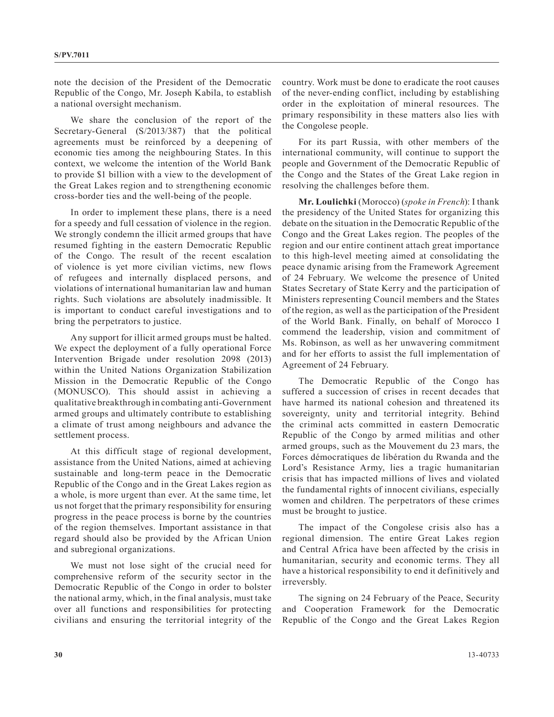note the decision of the President of the Democratic Republic of the Congo, Mr. Joseph Kabila, to establish a national oversight mechanism.

We share the conclusion of the report of the Secretary-General (S/2013/387) that the political agreements must be reinforced by a deepening of economic ties among the neighbouring States. In this context, we welcome the intention of the World Bank to provide \$1 billion with a view to the development of the Great Lakes region and to strengthening economic cross-border ties and the well-being of the people.

In order to implement these plans, there is a need for a speedy and full cessation of violence in the region. We strongly condemn the illicit armed groups that have resumed fighting in the eastern Democratic Republic of the Congo. The result of the recent escalation of violence is yet more civilian victims, new flows of refugees and internally displaced persons, and violations of international humanitarian law and human rights. Such violations are absolutely inadmissible. It is important to conduct careful investigations and to bring the perpetrators to justice.

Any support for illicit armed groups must be halted. We expect the deployment of a fully operational Force Intervention Brigade under resolution 2098 (2013) within the United Nations Organization Stabilization Mission in the Democratic Republic of the Congo (MONUSCO). This should assist in achieving a qualitative breakthrough in combating anti-Government armed groups and ultimately contribute to establishing a climate of trust among neighbours and advance the settlement process.

At this difficult stage of regional development, assistance from the United Nations, aimed at achieving sustainable and long-term peace in the Democratic Republic of the Congo and in the Great Lakes region as a whole, is more urgent than ever. At the same time, let us not forget that the primary responsibility for ensuring progress in the peace process is borne by the countries of the region themselves. Important assistance in that regard should also be provided by the African Union and subregional organizations.

We must not lose sight of the crucial need for comprehensive reform of the security sector in the Democratic Republic of the Congo in order to bolster the national army, which, in the final analysis, must take over all functions and responsibilities for protecting civilians and ensuring the territorial integrity of the country. Work must be done to eradicate the root causes of the never-ending conflict, including by establishing order in the exploitation of mineral resources. The primary responsibility in these matters also lies with the Congolese people.

For its part Russia, with other members of the international community, will continue to support the people and Government of the Democratic Republic of the Congo and the States of the Great Lake region in resolving the challenges before them.

**Mr. Loulichki** (Morocco) (*spoke in French*): I thank the presidency of the United States for organizing this debate on the situation in the Democratic Republic of the Congo and the Great Lakes region. The peoples of the region and our entire continent attach great importance to this high-level meeting aimed at consolidating the peace dynamic arising from the Framework Agreement of 24 February. We welcome the presence of United States Secretary of State Kerry and the participation of Ministers representing Council members and the States of the region, as well as the participation of the President of the World Bank. Finally, on behalf of Morocco I commend the leadership, vision and commitment of Ms. Robinson, as well as her unwavering commitment and for her efforts to assist the full implementation of Agreement of 24 February.

The Democratic Republic of the Congo has suffered a succession of crises in recent decades that have harmed its national cohesion and threatened its sovereignty, unity and territorial integrity. Behind the criminal acts committed in eastern Democratic Republic of the Congo by armed militias and other armed groups, such as the Mouvement du 23 mars, the Forces démocratiques de libération du Rwanda and the Lord's Resistance Army, lies a tragic humanitarian crisis that has impacted millions of lives and violated the fundamental rights of innocent civilians, especially women and children. The perpetrators of these crimes must be brought to justice.

The impact of the Congolese crisis also has a regional dimension. The entire Great Lakes region and Central Africa have been affected by the crisis in humanitarian, security and economic terms. They all have a historical responsibility to end it definitively and irreversbly.

The signing on 24 February of the Peace, Security and Cooperation Framework for the Democratic Republic of the Congo and the Great Lakes Region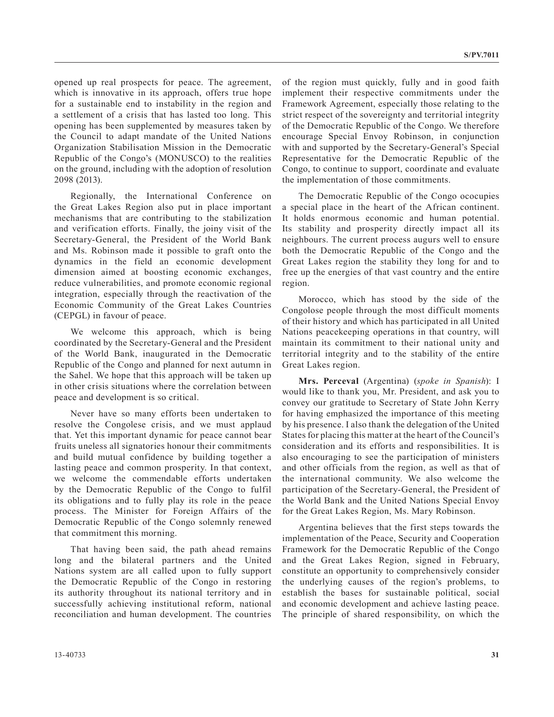opened up real prospects for peace. The agreement, which is innovative in its approach, offers true hope for a sustainable end to instability in the region and a settlement of a crisis that has lasted too long. This opening has been supplemented by measures taken by the Council to adapt mandate of the United Nations Organization Stabilisation Mission in the Democratic Republic of the Congo's (MONUSCO) to the realities on the ground, including with the adoption of resolution 2098 (2013).

Regionally, the International Conference on the Great Lakes Region also put in place important mechanisms that are contributing to the stabilization and verification efforts. Finally, the joiny visit of the Secretary-General, the President of the World Bank and Ms. Robinson made it possible to graft onto the dynamics in the field an economic development dimension aimed at boosting economic exchanges, reduce vulnerabilities, and promote economic regional integration, especially through the reactivation of the Economic Community of the Great Lakes Countries (CEPGL) in favour of peace.

We welcome this approach, which is being coordinated by the Secretary-General and the President of the World Bank, inaugurated in the Democratic Republic of the Congo and planned for next autumn in the Sahel. We hope that this approach will be taken up in other crisis situations where the correlation between peace and development is so critical.

Never have so many efforts been undertaken to resolve the Congolese crisis, and we must applaud that. Yet this important dynamic for peace cannot bear fruits uneless all signatories honour their commitments and build mutual confidence by building together a lasting peace and common prosperity. In that context, we welcome the commendable efforts undertaken by the Democratic Republic of the Congo to fulfil its obligations and to fully play its role in the peace process. The Minister for Foreign Affairs of the Democratic Republic of the Congo solemnly renewed that commitment this morning.

That having been said, the path ahead remains long and the bilateral partners and the United Nations system are all called upon to fully support the Democratic Republic of the Congo in restoring its authority throughout its national territory and in successfully achieving institutional reform, national reconciliation and human development. The countries of the region must quickly, fully and in good faith implement their respective commitments under the Framework Agreement, especially those relating to the strict respect of the sovereignty and territorial integrity of the Democratic Republic of the Congo. We therefore encourage Special Envoy Robinson, in conjunction with and supported by the Secretary-General's Special Representative for the Democratic Republic of the Congo, to continue to support, coordinate and evaluate the implementation of those commitments.

The Democratic Republic of the Congo ococupies a special place in the heart of the African continent. It holds enormous economic and human potential. Its stability and prosperity directly impact all its neighbours. The current process augurs well to ensure both the Democratic Republic of the Congo and the Great Lakes region the stability they long for and to free up the energies of that vast country and the entire region.

Morocco, which has stood by the side of the Congolose people through the most difficult moments of their history and which has participated in all United Nations peacekeeping operations in that country, will maintain its commitment to their national unity and territorial integrity and to the stability of the entire Great Lakes region.

**Mrs. Perceval** (Argentina) (*spoke in Spanish*): I would like to thank you, Mr. President, and ask you to convey our gratitude to Secretary of State John Kerry for having emphasized the importance of this meeting by his presence. I also thank the delegation of the United States for placing this matter at the heart of the Council's consideration and its efforts and responsibilities. It is also encouraging to see the participation of ministers and other officials from the region, as well as that of the international community. We also welcome the participation of the Secretary-General, the President of the World Bank and the United Nations Special Envoy for the Great Lakes Region, Ms. Mary Robinson.

Argentina believes that the first steps towards the implementation of the Peace, Security and Cooperation Framework for the Democratic Republic of the Congo and the Great Lakes Region, signed in February, constitute an opportunity to comprehensively consider the underlying causes of the region's problems, to establish the bases for sustainable political, social and economic development and achieve lasting peace. The principle of shared responsibility, on which the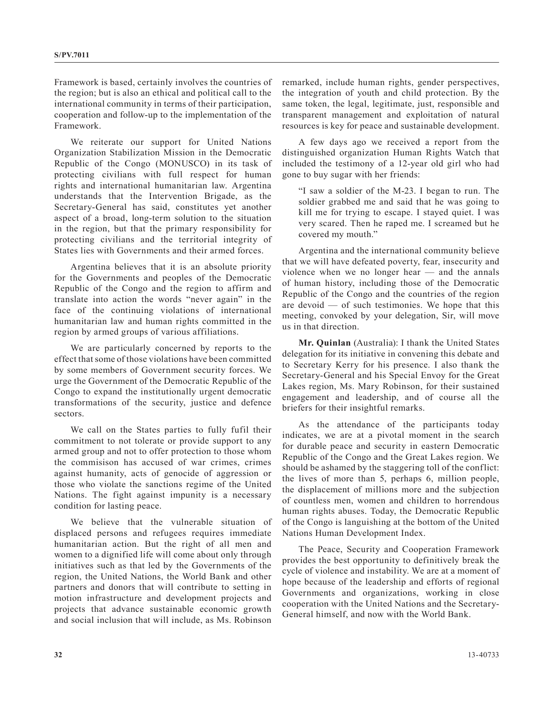Framework is based, certainly involves the countries of the region; but is also an ethical and political call to the international community in terms of their participation, cooperation and follow-up to the implementation of the Framework.

We reiterate our support for United Nations Organization Stabilization Mission in the Democratic Republic of the Congo (MONUSCO) in its task of protecting civilians with full respect for human rights and international humanitarian law. Argentina understands that the Intervention Brigade, as the Secretary-General has said, constitutes yet another aspect of a broad, long-term solution to the situation in the region, but that the primary responsibility for protecting civilians and the territorial integrity of States lies with Governments and their armed forces.

Argentina believes that it is an absolute priority for the Governments and peoples of the Democratic Republic of the Congo and the region to affirm and translate into action the words "never again" in the face of the continuing violations of international humanitarian law and human rights committed in the region by armed groups of various affiliations.

We are particularly concerned by reports to the effect that some of those violations have been committed by some members of Government security forces. We urge the Government of the Democratic Republic of the Congo to expand the institutionally urgent democratic transformations of the security, justice and defence sectors.

We call on the States parties to fully fufil their commitment to not tolerate or provide support to any armed group and not to offer protection to those whom the commisison has accused of war crimes, crimes against humanity, acts of genocide of aggression or those who violate the sanctions regime of the United Nations. The fight against impunity is a necessary condition for lasting peace.

We believe that the vulnerable situation of displaced persons and refugees requires immediate humanitarian action. But the right of all men and women to a dignified life will come about only through initiatives such as that led by the Governments of the region, the United Nations, the World Bank and other partners and donors that will contribute to setting in motion infrastructure and development projects and projects that advance sustainable economic growth and social inclusion that will include, as Ms. Robinson

remarked, include human rights, gender perspectives, the integration of youth and child protection. By the same token, the legal, legitimate, just, responsible and transparent management and exploitation of natural resources is key for peace and sustainable development.

A few days ago we received a report from the distinguished organization Human Rights Watch that included the testimony of a 12-year old girl who had gone to buy sugar with her friends:

"I saw a soldier of the M-23. I began to run. The soldier grabbed me and said that he was going to kill me for trying to escape. I stayed quiet. I was very scared. Then he raped me. I screamed but he covered my mouth."

Argentina and the international community believe that we will have defeated poverty, fear, insecurity and violence when we no longer hear — and the annals of human history, including those of the Democratic Republic of the Congo and the countries of the region are devoid — of such testimonies. We hope that this meeting, convoked by your delegation, Sir, will move us in that direction.

**Mr. Quinlan** (Australia): I thank the United States delegation for its initiative in convening this debate and to Secretary Kerry for his presence. I also thank the Secretary-General and his Special Envoy for the Great Lakes region, Ms. Mary Robinson, for their sustained engagement and leadership, and of course all the briefers for their insightful remarks.

As the attendance of the participants today indicates, we are at a pivotal moment in the search for durable peace and security in eastern Democratic Republic of the Congo and the Great Lakes region. We should be ashamed by the staggering toll of the conflict: the lives of more than 5, perhaps 6, million people, the displacement of millions more and the subjection of countless men, women and children to horrendous human rights abuses. Today, the Democratic Republic of the Congo is languishing at the bottom of the United Nations Human Development Index.

The Peace, Security and Cooperation Framework provides the best opportunity to definitively break the cycle of violence and instability. We are at a moment of hope because of the leadership and efforts of regional Governments and organizations, working in close cooperation with the United Nations and the Secretary-General himself, and now with the World Bank.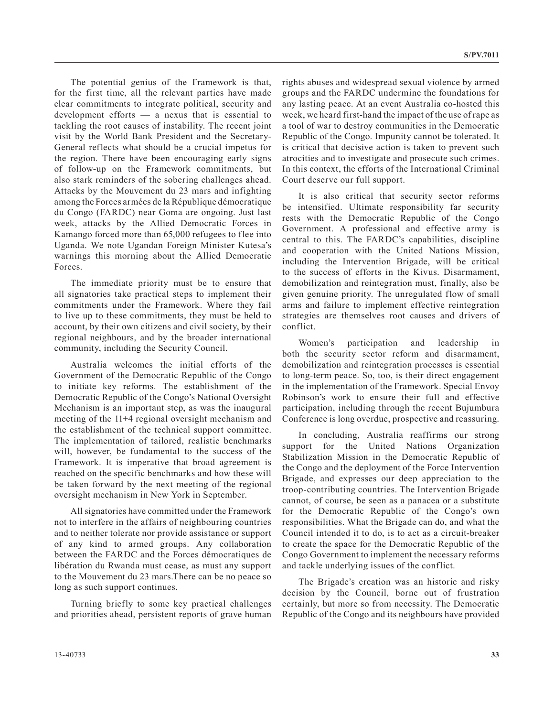The potential genius of the Framework is that, for the first time, all the relevant parties have made clear commitments to integrate political, security and development efforts — a nexus that is essential to tackling the root causes of instability. The recent joint visit by the World Bank President and the Secretary-General reflects what should be a crucial impetus for the region. There have been encouraging early signs of follow-up on the Framework commitments, but also stark reminders of the sobering challenges ahead. Attacks by the Mouvement du 23 mars and infighting among the Forces armées de la République démocratique du Congo (FARDC) near Goma are ongoing. Just last week, attacks by the Allied Democratic Forces in Kamango forced more than 65,000 refugees to flee into Uganda. We note Ugandan Foreign Minister Kutesa's warnings this morning about the Allied Democratic Forces.

The immediate priority must be to ensure that all signatories take practical steps to implement their commitments under the Framework. Where they fail to live up to these commitments, they must be held to account, by their own citizens and civil society, by their regional neighbours, and by the broader international community, including the Security Council.

Australia welcomes the initial efforts of the Government of the Democratic Republic of the Congo to initiate key reforms. The establishment of the Democratic Republic of the Congo's National Oversight Mechanism is an important step, as was the inaugural meeting of the 11+4 regional oversight mechanism and the establishment of the technical support committee. The implementation of tailored, realistic benchmarks will, however, be fundamental to the success of the Framework. It is imperative that broad agreement is reached on the specific benchmarks and how these will be taken forward by the next meeting of the regional oversight mechanism in New York in September.

All signatories have committed under the Framework not to interfere in the affairs of neighbouring countries and to neither tolerate nor provide assistance or support of any kind to armed groups. Any collaboration between the FARDC and the Forces démocratiques de libération du Rwanda must cease, as must any support to the Mouvement du 23 mars.There can be no peace so long as such support continues.

Turning briefly to some key practical challenges and priorities ahead, persistent reports of grave human rights abuses and widespread sexual violence by armed groups and the FARDC undermine the foundations for any lasting peace. At an event Australia co-hosted this week, we heard first-hand the impact of the use of rape as a tool of war to destroy communities in the Democratic Republic of the Congo. Impunity cannot be tolerated. It is critical that decisive action is taken to prevent such atrocities and to investigate and prosecute such crimes. In this context, the efforts of the International Criminal Court deserve our full support.

It is also critical that security sector reforms be intensified. Ultimate responsibility far security rests with the Democratic Republic of the Congo Government. A professional and effective army is central to this. The FARDC's capabilities, discipline and cooperation with the United Nations Mission, including the Intervention Brigade, will be critical to the success of efforts in the Kivus. Disarmament, demobilization and reintegration must, finally, also be given genuine priority. The unregulated flow of small arms and failure to implement effective reintegration strategies are themselves root causes and drivers of conflict.

Women's participation and leadership in both the security sector reform and disarmament, demobilization and reintegration processes is essential to long-term peace. So, too, is their direct engagement in the implementation of the Framework. Special Envoy Robinson's work to ensure their full and effective participation, including through the recent Bujumbura Conference is long overdue, prospective and reassuring.

In concluding, Australia reaffirms our strong support for the United Nations Organization Stabilization Mission in the Democratic Republic of the Congo and the deployment of the Force Intervention Brigade, and expresses our deep appreciation to the troop-contributing countries. The Intervention Brigade cannot, of course, be seen as a panacea or a substitute for the Democratic Republic of the Congo's own responsibilities. What the Brigade can do, and what the Council intended it to do, is to act as a circuit-breaker to create the space for the Democratic Republic of the Congo Government to implement the necessary reforms and tackle underlying issues of the conflict.

The Brigade's creation was an historic and risky decision by the Council, borne out of frustration certainly, but more so from necessity. The Democratic Republic of the Congo and its neighbours have provided